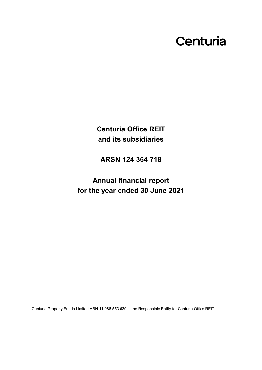# Centuria

**Centuria Office REIT and its subsidiaries**

**ARSN 124 364 718**

**Annual financial report for the year ended 30 June 2021**

Centuria Property Funds Limited ABN 11 086 553 639 is the Responsible Entity for Centuria Office REIT.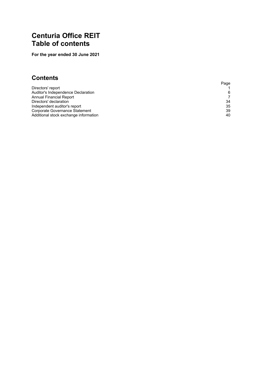# <span id="page-1-0"></span>**Centuria Office REIT Table of contents**

**For the year ended 30 June 2021**

## **Contents**

|                                       | Page |
|---------------------------------------|------|
| Directors' report                     |      |
| Auditor's Independence Declaration    | 6    |
| Annual Financial Report               | 7    |
| Directors' declaration                | 34   |
| Independent auditor's report          | 35   |
| Corporate Governance Statement        | 39   |
| Additional stock exchange information | 40   |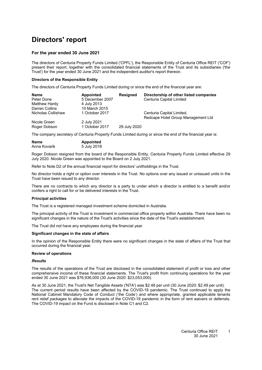# <span id="page-2-0"></span>**Directors' report**

#### **For the year ended 30 June 2021**

The directors of Centuria Property Funds Limited ('CPFL'), the Responsible Entity of Centuria Office REIT ('COF') present their report, together with the consolidated financial statements of the Trust and its subsidiaries ('the Trust') for the year ended 30 June 2021 and the independent auditor's report thereon.

#### **Directors of the Responsible Entity**

The directors of Centuria Property Funds Limited during or since the end of the financial year are:

| <b>Name</b>        | <b>Appointed</b> | <b>Resigned</b> | Directorship of other listed companies |
|--------------------|------------------|-----------------|----------------------------------------|
| Peter Done         | 5 December 2007  |                 | Centuria Capital Limited               |
| Matthew Hardy      | 4 July 2013      |                 |                                        |
| Darren Collins     | 10 March 2015    |                 |                                        |
| Nicholas Collishaw | 1 October 2017   |                 | Centuria Capital Limited,              |
|                    |                  |                 | Redcape Hotel Group Management Ltd     |
| Nicole Green       | 2 July 2021      |                 |                                        |
| Roger Dobson       | 1 October 2017   | 29 July 2020    |                                        |
|                    |                  |                 |                                        |

The company secretary of Centuria Property Funds Limited during or since the end of the financial year is:

| <b>Name</b>  | <b>Appointed</b> |
|--------------|------------------|
| Anna Kovarik | 5 July 2018      |

Roger Dobson resigned from the board of the Responsible Entity, Centuria Property Funds Limited effective 29 July 2020. Nicole Green was appointed to the Board on 2 July 2021.

Refer to Note [D2](#page-28-0) of the annual financial report for directors' unitholdings in the Trust.

No director holds a right or option over interests in the Trust. No options over any issued or unissued units in the Trust have been issued to any director.

There are no contracts to which any director is a party to under which a director is entitled to a benefit and/or confers a right to call for or be delivered interests in the Trust.

#### **Principal activities**

The Trust is a registered managed investment scheme domiciled in Australia.

The principal activity of the Trust is investment in commercial office property within Australia. There have been no significant changes in the nature of the Trust's activities since the date of the Trust's establishment.

The Trust did not have any employees during the financial year.

#### **Significant changes in the state of affairs**

In the opinion of the Responsible Entity there were no significant changes in the state of affairs of the Trust that occurred during the financial year.

#### **Review of operations**

#### *Results*

The results of the operations of the Trust are disclosed in the consolidated statement of profit or loss and other comprehensive income of these financial statements. The Trust's profit from continuing operations for the year ended 30 June 2021 was \$76,936,000 (30 June 2020: \$23,053,000).

As at 30 June 2021, the Trust's Net Tangible Assets ('NTA') was \$2.48 per unit (30 June 2020: \$2.49 per unit). The current period results have been affected by the COVID-19 pandemic. The Trust continued to apply the National Cabinet Mandatory Code of Conduct ('the Code') and where appropriate, granted applicable tenants rent relief packages to alleviate the impacts of the COVID-19 pandemic in the form of rent waivers or deferrals. The COVID-19 impact on the Fund is disclosed in Note [C1](#page-18-0) and [C2.](#page-13-0)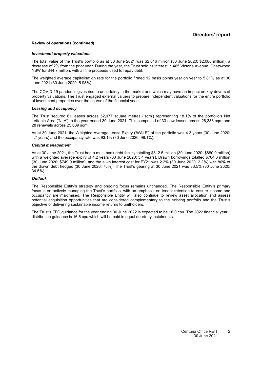#### **Review of operations (continued)**

#### *Investment property valuations*

The total value of the Trust's portfolio as at 30 June 2021 was \$2,046 million (30 June 2020: \$2,086 million), a decrease of 2% from the prior year. During the year, the Trust sold its interest in 465 Victoria Avenue, Chatswood NSW for \$44.7 million, with all the proceeds used to repay debt.

The weighted average capitalisation rate for the portfolio firmed 12 basis points year on year to 5.81% as at 30 June 2021 (30 June 2020: 5.93%).

The COVID-19 pandemic gives rise to uncertainty in the market and which may have an impact on key drivers of property valuations. The Trust engaged external valuers to prepare independent valuations for the entire portfolio of investment properties over the course of the financial year.

#### *Leasing and occupancy*

The Trust secured 61 leases across 52,077 square metres ('sqm') representing 18.1% of the portfolio's Net Lettable Area ('NLA') in the year ended 30 June 2021. This comprised of 33 new leases across 26,388 sqm and 28 renewals across 25,689 sqm.

As at 30 June 2021, the Weighted Average Lease Expiry ('WALE') of the portfolio was 4.3 years (30 June 2020: 4.7 years) and the occupancy rate was 93.1% (30 June 2020: 98.1%).

#### *Capital management*

As at 30 June 2021, the Trust had a multi-bank debt facility totalling \$812.5 million (30 June 2020: \$880.0 million) with a weighted average expiry of 4.2 years (30 June 2020: 3.4 years). Drawn borrowings totalled \$704.3 million (30 June 2020: \$749.0 million), and the all-in interest cost for FY21 was 2.2% (30 June 2020: 2.2%) with 80**%** of the drawn debt hedged (30 June 2020: 75%). The Trust's gearing at 30 June 2021 was 33.5% (30 June 2020: 34.5%).

#### *Outlook*

The Responsible Entity's strategy and ongoing focus remains unchanged. The Responsible Entity's primary focus is on actively managing the Trust's portfolio, with an emphasis on tenant retention to ensure income and occupancy are maximised. The Responsible Entity will also continue to review asset allocation and assess potential acquisition opportunities that are considered complementary to the existing portfolio and the Trust's objective of delivering sustainable income returns to unitholders.

The Trust's FFO guidance for the year ending 30 June 2022 is expected to be 18.0 cpu. The 2022 financial year distribution guidance is 16.6 cpu which will be paid in equal quarterly instalments.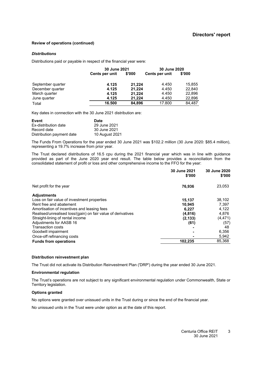#### **Review of operations (continued)**

#### *Distributions*

Distributions paid or payable in respect of the financial year were:

|                   | 30 June 2021   |        | 30 June 2020   |        |
|-------------------|----------------|--------|----------------|--------|
|                   | Cents per unit | \$'000 | Cents per unit | \$'000 |
| September quarter | 4.125          | 21.224 | 4.450          | 15,855 |
| December quarter  | 4.125          | 21,224 | 4.450          | 22.840 |
| March quarter     | 4.125          | 21.224 | 4.450          | 22,896 |
| June quarter      | 4.125          | 21.224 | 4.450          | 22,896 |
| Total             | 16.500         | 84,896 | 17.800         | 84.487 |

Key dates in connection with the 30 June 2021 distribution are:

| Event                     | Date           |
|---------------------------|----------------|
| Ex-distribution date      | 29 June 2021   |
| Record date               | 30 June 2021   |
| Distribution payment date | 10 August 2021 |

The Funds From Operations for the year ended 30 June 2021 was \$102.2 million (30 June 2020: \$85.4 million), representing a 19.7% increase from prior year.

The Trust declared distributions of 16.5 cpu during the 2021 financial year which was in line with guidance provided as part of the June 2020 year end result. The table below provides a reconciliation from the consolidated statement of profit or loss and other comprehensive income to the FFO for the year:

|                                                              | 30 June 2021<br>\$'000 | 30 June 2020<br>\$'000 |
|--------------------------------------------------------------|------------------------|------------------------|
| Net profit for the year                                      | 76,936                 | 23,053                 |
| <b>Adjustments</b>                                           |                        |                        |
| Loss on fair value of investment properties                  | 15,137                 | 38,102                 |
| Rent free and abatement                                      | 10.945                 | 7,397                  |
| Amortisation of incentives and leasing fees                  | 6,227                  | 4,122                  |
| Realised/unrealised loss/(gain) on fair value of derivatives | (4, 816)               | 4,876                  |
| Straight-lining of rental income                             | (2, 133)               | (4, 471)               |
| Adjustments for AASB 16                                      | (61)                   | (57)                   |
| <b>Transaction costs</b>                                     |                        | 48                     |
| Goodwill impairment                                          |                        | 6,356                  |
| Once-off refinancing costs                                   |                        | 5,942                  |
| <b>Funds from operations</b>                                 | 102,235                | 85,368                 |

#### **Distribution reinvestment plan**

The Trust did not activate its Distribution Reinvestment Plan ('DRP') during the year ended 30 June 2021.

#### **Environmental regulation**

The Trust's operations are not subject to any significant environmental regulation under Commonwealth, State or Territory legislation.

#### **Options granted**

No options were granted over unissued units in the Trust during or since the end of the financial year.

No unissued units in the Trust were under option as at the date of this report.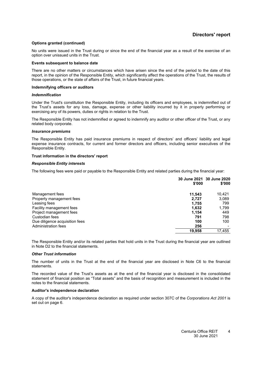#### **Options granted (continued)**

No units were issued in the Trust during or since the end of the financial year as a result of the exercise of an option over unissued units in the Trust.

#### **Events subsequent to balance date**

There are no other matters or circumstances which have arisen since the end of the period to the date of this report, in the opinion of the Responsible Entity, which significantly affect the operations of the Trust, the results of those operations, or the state of affairs of the Trust, in future financial years.

#### **Indemnifying officers or auditors**

#### *Indemnification*

Under the Trust's constitution the Responsible Entity, including its officers and employees, is indemnified out of the Trust's assets for any loss, damage, expense or other liability incurred by it in properly performing or exercising any of its powers, duties or rights in relation to the Trust.

The Responsible Entity has not indemnified or agreed to indemnify any auditor or other officer of the Trust, or any related body corporate.

#### *Insurance premiums*

The Responsible Entity has paid insurance premiums in respect of directors' and officers' liability and legal expense insurance contracts, for current and former directors and officers, including senior executives of the Responsible Entity.

#### **Trust information in the directors' report**

#### *Responsible Entity interests*

The following fees were paid or payable to the Responsible Entity and related parties during the financial year:

|                                | \$'000 | 30 June 2021 30 June 2020<br>\$'000 |
|--------------------------------|--------|-------------------------------------|
| Management fees                | 11.543 | 10,421                              |
| Property management fees       | 2,727  | 3,089                               |
| Leasing fees                   | 1,755  | 799                                 |
| Facility management fees       | 1,632  | 1,799                               |
| Project management fees        | 1,154  | 449                                 |
| Custodian fees                 | 791    | 798                                 |
| Due diligence acquisition fees | 100    | 100                                 |
| Administration fees            | 256    |                                     |
|                                | 19,958 | 17.455                              |

The Responsible Entity and/or its related parties that hold units in the Trust during the financial year are outlined in Note [D2](#page-28-0) to the financial statements.

#### *Other Trust information*

The number of units in the Trust at the end of the financial year are disclosed in Note [C6](#page-26-0) to the financial statements.

The recorded value of the Trust's assets as at the end of the financial year is disclosed in the consolidated statement of financial position as "Total assets" and the basis of recognition and measurement is included in the notes to the financial statements.

#### <span id="page-5-0"></span>**Auditor's independence declaration**

A copy of the auditor's independence declaration as required under section 307C of the *Corporations Act 2001* is set out on page [6.](#page-5-0)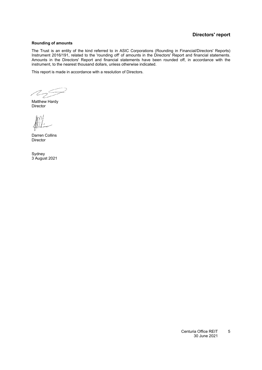#### **Directors' report**

#### **Rounding of amounts**

The Trust is an entity of the kind referred to in ASIC Corporations (Rounding in Financial/Directors' Reports) Instrument 2016/191, related to the 'rounding off' of amounts in the Directors' Report and financial statements. Amounts in the Directors' Report and financial statements have been rounded off, in accordance with the instrument, to the nearest thousand dollars, unless otherwise indicated.

This report is made in accordance with a resolution of Directors.

M S

Matthew Hardy Director

Darren Collins Director

Sydney 3 August 2021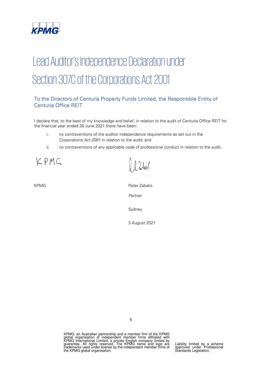

# Lead Auditor's Independence Declaration under Section 307C of the Corporations Act 2001

### To the Directors of Centuria Property Funds Limited, the Responsible Entity of Centuria Office REIT

I declare that, to the best of my knowledge and belief, in relation to the audit of Centuria Office REIT for the financial year ended 30 June 2021 there have been:

- i. no contraventions of the auditor independence requirements as set out in the Corporations Act 2001 in relation to the audit; and
- ii. no contraventions of any applicable code of professional conduct in relation to the audit.

KPMG

KPMG **Peter Zabaks** Partner Sydney 3 August 2021

 $\Omega$ 

KPMG, an Australian partnership and a member firm of the KPMG<br>global organisation of independent member firms affiliated with<br>KPMG International Limited, a private English company limited by<br>guarantee. All rights reserved.

Liability limited by a scheme approved under Professional Standards Legislation.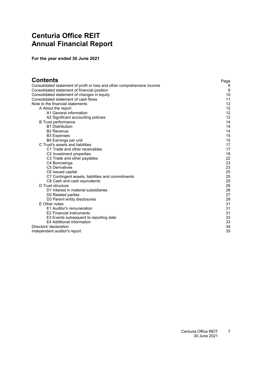# <span id="page-8-0"></span>**Centuria Office REIT Annual Financial Report**

**For the year ended 30 June 2021**

| <b>Contents</b>                                                         | Page |
|-------------------------------------------------------------------------|------|
| Consolidated statement of profit or loss and other comprehensive income | 8    |
| Consolidated statement of financial position                            | 9    |
| Consolidated statement of changes in equity                             | 10   |
| Consolidated statement of cash flows                                    | 11   |
| Note to the financial statements                                        | 12   |
| A About the report                                                      | 12   |
| A1 General information                                                  | 12   |
| A2 Significant accounting policies                                      | 12   |
| <b>B</b> Trust performance                                              | 14   |
| <b>B1 Distribution</b>                                                  | 14   |
| <b>B2 Revenue</b>                                                       | 14   |
| <b>B3 Expenses</b>                                                      | 15   |
| B4 Earnings per unit                                                    | 15   |
| C Trust's assets and liabilities                                        | 17   |
| C1 Trade and other receivables                                          | 17   |
| C2 Investment properties                                                | 18   |
| C3 Trade and other payables                                             | 22   |
| C4 Borrowings                                                           | 23   |
| <b>C5 Derivatives</b>                                                   | 23   |
| C6 Issued capital                                                       | 25   |
| C7 Contingent assets, liabilities and commitments                       | 25   |
| C8 Cash and cash equivalents                                            | 25   |
| D Trust structure                                                       | 26   |
| D1 Interest in material subsidiaries                                    | 26   |
| D <sub>2</sub> Related parties                                          | 27   |
| D3 Parent entity disclosures                                            | 29   |
| E Other notes                                                           | 31   |
| E1 Auditor's remuneration                                               | 31   |
| E2 Financial instruments                                                | 31   |
| E3 Events subsequent to reporting date                                  | 33   |
| E4 Additional information                                               | 33   |
| Directors' declaration                                                  | 34   |
| Independent auditor's report                                            | 35   |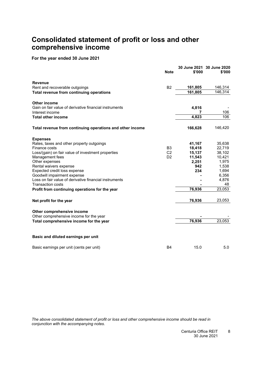# <span id="page-9-0"></span>**Consolidated statement of profit or loss and other comprehensive income**

#### **For the year ended 30 June 2021**

|                                                           | <b>Note</b>    | \$'000  | 30 June 2021 30 June 2020<br>\$'000 |
|-----------------------------------------------------------|----------------|---------|-------------------------------------|
| <b>Revenue</b>                                            |                |         |                                     |
| Rent and recoverable outgoings                            | B <sub>2</sub> | 161,805 | 146,314                             |
| Total revenue from continuing operations                  |                | 161,805 | 146,314                             |
| Other income                                              |                |         |                                     |
| Gain on fair value of derivative financial instruments    |                | 4,816   |                                     |
| Interest income                                           |                | 7       | 106                                 |
| <b>Total other income</b>                                 |                | 4,823   | 106                                 |
| Total revenue from continuing operations and other income |                | 166,628 | 146,420                             |
| <b>Expenses</b>                                           |                |         |                                     |
| Rates, taxes and other property outgoings                 |                | 41,167  | 35,638                              |
| Finance costs                                             | B <sub>3</sub> | 18,418  | 22,719                              |
| Loss/(gain) on fair value of investment properties        | C <sub>2</sub> | 15,137  | 38,102                              |
| Management fees                                           | D <sub>2</sub> | 11,543  | 10,421                              |
| Other expenses                                            |                | 2,251   | 1,975                               |
| Rental waivers expense                                    |                | 942     | 1,538                               |
| Expected credit loss expense                              |                | 234     | 1,694                               |
| Goodwill impairment expense                               |                |         | 6,356                               |
| Loss on fair value of derivative financial instruments    |                |         | 4,876                               |
| <b>Transaction costs</b>                                  |                |         | 48                                  |
| Profit from continuing operations for the year            |                | 76,936  | 23,053                              |
| Net profit for the year                                   |                | 76,936  | 23,053                              |
| Other comprehensive income                                |                |         |                                     |
| Other comprehensive income for the year                   |                |         |                                     |
| Total comprehensive income for the year                   |                | 76,936  | 23,053                              |
| Basic and diluted earnings per unit                       |                |         |                                     |
| Basic earnings per unit (cents per unit)                  | <b>B4</b>      | 15.0    | 5.0                                 |

*The above consolidated statement of profit or loss and other comprehensive income should be read in conjunction with the accompanying notes.*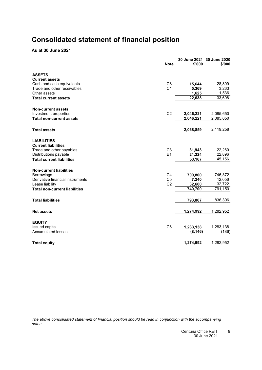# <span id="page-10-0"></span>**Consolidated statement of financial position**

**As at 30 June 2021**

|                                                          | <b>Note</b>                      | \$'000          | 30 June 2021 30 June 2020<br>\$'000 |
|----------------------------------------------------------|----------------------------------|-----------------|-------------------------------------|
| <b>ASSETS</b>                                            |                                  |                 |                                     |
| <b>Current assets</b>                                    |                                  |                 |                                     |
| Cash and cash equivalents<br>Trade and other receivables | C <sub>8</sub><br>C <sub>1</sub> | 15,644          | 28,809                              |
| Other assets                                             |                                  | 5,369<br>1,625  | 3,263<br>1,536                      |
| <b>Total current assets</b>                              |                                  | 22,638          | 33,608                              |
|                                                          |                                  |                 |                                     |
| <b>Non-current assets</b>                                |                                  |                 |                                     |
| Investment properties                                    | C <sub>2</sub>                   | 2,046,221       | 2,085,650                           |
| <b>Total non-current assets</b>                          |                                  | 2,046,221       | 2,085,650                           |
| <b>Total assets</b>                                      |                                  | 2,068,859       | 2,119,258                           |
| <b>LIABILITIES</b>                                       |                                  |                 |                                     |
| <b>Current liabilities</b><br>Trade and other payables   | C <sub>3</sub>                   | 31,943          | 22,260                              |
| Distributions payable                                    | <b>B1</b>                        | 21,224          | 22,896                              |
| <b>Total current liabilities</b>                         |                                  | 53,167          | 45,156                              |
|                                                          |                                  |                 |                                     |
| <b>Non-current liabilities</b>                           |                                  |                 |                                     |
| <b>Borrowings</b><br>Derivative financial instruments    | C <sub>4</sub><br>C <sub>5</sub> | 700,800         | 746,372<br>12,056                   |
| Lease liability                                          | C <sub>2</sub>                   | 7,240<br>32,660 | 32,722                              |
| <b>Total non-current liabilities</b>                     |                                  | 740,700         | 791,150                             |
|                                                          |                                  |                 |                                     |
| <b>Total liabilities</b>                                 |                                  | 793,867         | 836,306                             |
| <b>Net assets</b>                                        |                                  | 1,274,992       | 1,282,952                           |
| <b>EQUITY</b>                                            |                                  |                 |                                     |
| Issued capital                                           | C <sub>6</sub>                   | 1,283,138       | 1,283,138                           |
| <b>Accumulated losses</b>                                |                                  | (8, 146)        | (186)                               |
| <b>Total equity</b>                                      |                                  | 1,274,992       | 1,282,952                           |
|                                                          |                                  |                 |                                     |

*The above consolidated statement of financial position should be read in conjunction with the accompanying notes.*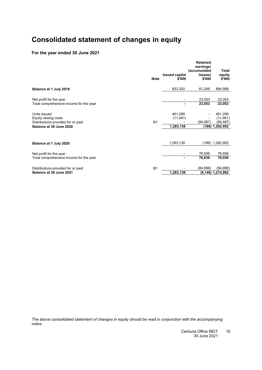# <span id="page-11-0"></span>**Consolidated statement of changes in equity**

### **For the year ended 30 June 2021**

|                                         |             |                                 | <b>Retained</b><br>earnings/<br>(accumulated | Total            |
|-----------------------------------------|-------------|---------------------------------|----------------------------------------------|------------------|
|                                         | <b>Note</b> | <b>Issued capital</b><br>\$'000 | losses)<br>\$'000                            | equity<br>\$'000 |
| Balance at 1 July 2019                  |             | 833,320                         | 61,248                                       | 894,568          |
| Net profit for the year                 |             |                                 | 23,053                                       | 23,053           |
| Total comprehensive income for the year |             | ۰                               | 23,053                                       | 23,053           |
| Units issued                            |             | 461,299                         |                                              | 461,299          |
| Equity raising costs                    |             | (11, 481)                       |                                              | (11, 481)        |
| Distributions provided for or paid      | <b>B1</b>   |                                 | (84, 487)                                    | (84,487)         |
| Balance at 30 June 2020                 |             | 1,283,138                       | (186)                                        | 1,282,952        |
| Balance at 1 July 2020                  |             | 1,283,138                       | (186)                                        | 1,282,952        |
|                                         |             |                                 |                                              |                  |
| Net profit for the year                 |             |                                 | 76,936                                       | 76,936           |
| Total comprehensive income for the year |             |                                 | 76,936                                       | 76,936           |
| Distributions provided for or paid      | <b>B1</b>   |                                 | (84,896)                                     | (84,896)         |
| Balance at 30 June 2021                 |             | 1,283,138                       | (8, 146)                                     | 1,274,992        |

*The above consolidated statement of changes in equity should be read in conjunction with the accompanying notes.*

> Centuria Office REIT 30 June 2021  $10$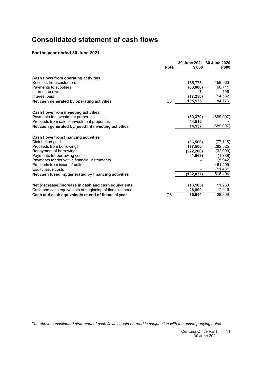# <span id="page-12-0"></span>**Consolidated statement of cash flows**

### **For the year ended 30 June 2021**

|                                                            | <b>Note</b>    | \$'000     | 30 June 2021 30 June 2020<br>\$'000 |
|------------------------------------------------------------|----------------|------------|-------------------------------------|
| Cash flows from operating activities                       |                |            |                                     |
| Receipts from customers                                    |                | 185.778    | 159,963                             |
| Payments to suppliers                                      |                | (63,000)   | (60, 711)                           |
| Interest received                                          |                |            | 106                                 |
| Interest paid                                              |                | (17, 250)  | (14, 582)                           |
| Net cash generated by operating activities                 | C8             | 105,535    | 84,776                              |
| Cash flows from investing activities                       |                |            |                                     |
| Payments for investment properties                         |                | (30, 379)  | (689,007)                           |
| Proceeds from sale of investment properties                |                | 44,516     |                                     |
| Net cash generated by/(used in) investing activities       |                | 14,137     | (689,007)                           |
| Cash flows from financing activities                       |                |            |                                     |
| Distribution paid                                          |                | (86, 568)  | (77, 118)                           |
| Proceeds from borrowings                                   |                | 177,500    | 282,525                             |
| Repayment of borrowings                                    |                | (222, 200) | (32,000)                            |
| Payments for borrowing costs                               |                | (1, 569)   | (1,789)                             |
| Payments for derivative financial instruments              |                |            | (5,942)                             |
| Proceeds from issue of units                               |                |            | 461,299                             |
| Equity issue costs                                         |                |            | (11, 481)                           |
| Net cash (used in)/generated by financing activities       |                | (132, 837) | 615,494                             |
| Net (decrease)/increase in cash and cash equivalents       |                | (13, 165)  | 11,263                              |
| Cash and cash equivalents at beginning of financial period |                | 28,809     | 17,546                              |
| Cash and cash equivalents at end of financial year         | C <sub>8</sub> | 15,644     | 28,809                              |

*The above consolidated statement of cash flows should be read in conjunction with the accompanying notes.*

Centuria Office REIT 30 June 2021  $11$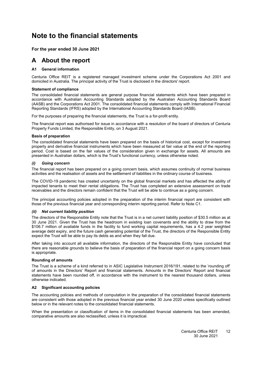## <span id="page-13-4"></span><span id="page-13-0"></span>**Note to the financial statements**

#### <span id="page-13-1"></span>**For the year ended 30 June 2021**

### <span id="page-13-2"></span>**A About the report**

#### **[A1](#page-13-2) General information**

Centuria Office REIT is a registered managed investment scheme under the Corporations Act 2001 and domiciled in Australia. The principal activity of the Trust is disclosed in the directors' report.

#### **Statement of compliance**

The consolidated financial statements are general purpose financial statements which have been prepared in accordance with Australian Accounting Standards adopted by the Australian Accounting Standards Board (AASB) and the Corporations Act 2001. The consolidated financial statements comply with International Financial Reporting Standards (IFRS) adopted by the International Accounting Standards Board (IASB).

For the purposes of preparing the financial statements, the Trust is a for-profit entity.

The financial report was authorised for issue in accordance with a resolution of the board of directors of Centuria Property Funds Limited, the Responsible Entity, on 3 August 2021.

#### **Basis of preparation**

The consolidated financial statements have been prepared on the basis of historical cost, except for investment property and derivative financial instruments which have been measured at fair value at the end of the reporting period. Cost is based on the fair values of the consideration given in exchange for assets. All amounts are presented in Australian dollars, which is the Trust's functional currency, unless otherwise noted.

#### *(i) Going concern*

The financial report has been prepared on a going concern basis, which assumes continuity of normal business activities and the realisation of assets and the settlement of liabilities in the ordinary course of business.

The COVID-19 pandemic has created uncertainty on the global financial markets and has affected the ability of impacted tenants to meet their rental obligations. The Trust has completed an extensive assessment on trade receivables and the directors remain confident that the Trust will be able to continue as a going concern.

The principal accounting policies adopted in the preparation of the interim financial report are consistent with those of the previous financial year and corresponding interim reporting period. Refer to Note [C1.](#page-18-0)

#### *(ii) Net current liability position*

The directors of the Responsible Entity note that the Trust is in a net current liability position of \$30.5 million as at 30 June 2021. Given the Trust has the headroom in existing loan covenants and the ability to draw from the \$106.7 million of available funds in the facility to fund working capital requirements, has a 4.2 year weighted average debt expiry, and the future cash generating potential of the Trust, the directors of the Responsible Entity expect the Trust will be able to pay its debts as and when they fall due.

After taking into account all available information, the directors of the Responsible Entity have concluded that there are reasonable grounds to believe the basis of preparation of the financial report on a going concern basis is appropriate.

#### **Rounding of amounts**

The Trust is a scheme of a kind referred to in ASIC Legislative Instrument 2016/191, related to the 'rounding off' of amounts in the Directors' Report and financial statements. Amounts in the Directors' Report and financial statements have been rounded off, in accordance with the instrument to the nearest thousand dollars, unless otherwise indicated.

#### <span id="page-13-3"></span>**[A2](#page-13-3) Significant accounting policies**

The accounting policies and methods of computation in the preparation of the consolidated financial statements are consistent with those adopted in the previous financial year ended 30 June 2020 unless specifically outlined below or in the relevant notes to the consolidated financial statements.

When the presentation or classification of items in the consolidated financial statements has been amended, comparative amounts are also reclassified, unless it is impractical.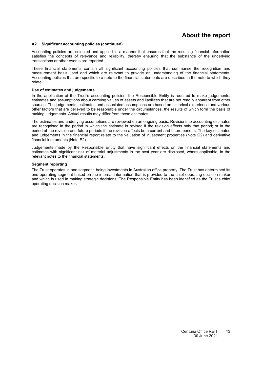### **About the report**

#### **[A2](#page-13-3) Significant accounting policies (continued)**

Accounting policies are selected and applied in a manner that ensures that the resulting financial information satisfies the concepts of relevance and reliability, thereby ensuring that the substance of the underlying transactions or other events are reported.

These financial statements contain all significant accounting policies that summarise the recognition and measurement basis used and which are relevant to provide an understanding of the financial statements. Accounting policies that are specific to a note to the financial statements are described in the note to which they relate.

#### **Use of estimates and judgements**

In the application of the Trust's accounting policies, the Responsible Entity is required to make judgements, estimates and assumptions about carrying values of assets and liabilities that are not readily apparent from other sources. The judgements, estimates and associated assumptions are based on historical experience and various other factors that are believed to be reasonable under the circumstances, the results of which form the basis of making judgements. Actual results may differ from these estimates.

The estimates and underlying assumptions are reviewed on an ongoing basis. Revisions to accounting estimates are recognised in the period in which the estimate is revised if the revision affects only that period; or in the period of the revision and future periods if the revision affects both current and future periods. The key estimates and judgements in the financial report relate to the valuation of investment properties (Note [C2\)](#page-13-0) and derivative financial instruments (Note [E2\)](#page-32-2).

Judgements made by the Responsible Entity that have significant effects on the financial statements and estimates with significant risk of material adjustments in the next year are disclosed, where applicable, in the relevant notes to the financial statements.

#### **Segment reporting**

The Trust operates in one segment, being investments in Australian office property. The Trust has determined its one operating segment based on the internal information that is provided to the chief operating decision maker and which is used in making strategic decisions. The Responsible Entity has been identified as the Trust's chief operating decision maker.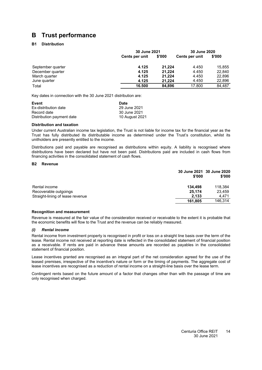### <span id="page-15-1"></span><span id="page-15-0"></span>**B Trust performance**

#### **[B1](#page-15-1) Distribution**

|                   | 30 June 2021   |        | 30 June 2020   |        |
|-------------------|----------------|--------|----------------|--------|
|                   | Cents per unit | \$'000 | Cents per unit | \$'000 |
| September quarter | 4.125          | 21.224 | 4.450          | 15.855 |
| December quarter  | 4.125          | 21,224 | 4.450          | 22,840 |
| March quarter     | 4.125          | 21.224 | 4.450          | 22,896 |
| June quarter      | 4.125          | 21.224 | 4.450          | 22,896 |
| Total             | 16.500         | 84.896 | 17.800         | 84.487 |

Key dates in connection with the 30 June 2021 distribution are:

| Event                     | Date           |
|---------------------------|----------------|
| Ex-distribution date      | 29 June 2021   |
| Record date               | 30 June 2021   |
| Distribution payment date | 10 August 2021 |

#### **Distribution and taxation**

Under current Australian income tax legislation, the Trust is not liable for income tax for the financial year as the Trust has fully distributed its distributable income as determined under the Trust's constitution, whilst its unitholders are presently entitled to the income.

Distributions paid and payable are recognised as distributions within equity. A liability is recognised where distributions have been declared but have not been paid. Distributions paid are included in cash flows from financing activities in the consolidated statement of cash flows.

#### <span id="page-15-2"></span>**[B2](#page-15-2) Revenue**

|                                  | \$'000  | 30 June 2021 30 June 2020<br>\$'000 |
|----------------------------------|---------|-------------------------------------|
| Rental income                    | 134.498 | 118,384                             |
| Recoverable outgoings            | 25.174  | 23,459                              |
| Straight-lining of lease revenue | 2.133   | 4.471                               |
|                                  | 161,805 | 146.314                             |

#### **Recognition and measurement**

Revenue is measured at the fair value of the consideration received or receivable to the extent it is probable that the economic benefits will flow to the Trust and the revenue can be reliably measured.

#### *(i) Rental income*

Rental income from investment property is recognised in profit or loss on a straight line basis over the term of the lease. Rental income not received at reporting date is reflected in the consolidated statement of financial position as a receivable. If rents are paid in advance these amounts are recorded as payables in the consolidated statement of financial position.

Lease incentives granted are recognised as an integral part of the net consideration agreed for the use of the leased premises, irrespective of the incentive's nature or form or the timing of payments. The aggregate cost of lease incentives are recognised as a reduction of rental income on a straight-line basis over the lease term.

Contingent rents based on the future amount of a factor that changes other than with the passage of time are only recognised when charged.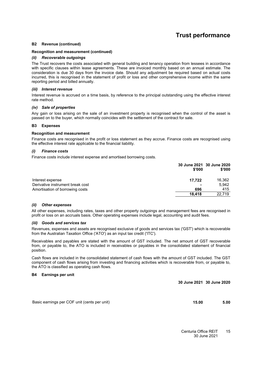### **Trust performance**

#### **[B2](#page-15-2) Revenue (continued)**

#### **Recognition and measurement (continued)**

#### *(ii) Recoverable outgoings*

The Trust recovers the costs associated with general building and tenancy operation from lessees in accordance with specific clauses within lease agreements. These are invoiced monthly based on an annual estimate. The consideration is due 30 days from the invoice date. Should any adjustment be required based on actual costs incurred, this is recognised in the statement of profit or loss and other comprehensive income within the same reporting period and billed annually.

#### *(iii) Interest revenue*

Interest revenue is accrued on a time basis, by reference to the principal outstanding using the effective interest rate method.

#### *(iv) Sale of properties*

<span id="page-16-0"></span>Any gain or loss arising on the sale of an investment property is recognised when the control of the asset is passed on to the buyer, which normally coincides with the settlement of the contract for sale.

#### **[B3](#page-16-0) Expenses**

#### **Recognition and measurement**

Finance costs are recognised in the profit or loss statement as they accrue. Finance costs are recognised using the effective interest rate applicable to the financial liability.

#### *(i) Finance costs*

Finance costs include interest expense and amortised borrowing costs.

|                                  | \$'000 | 30 June 2021 30 June 2020<br>\$'000 |
|----------------------------------|--------|-------------------------------------|
| Interest expense                 | 17.722 | 16,362                              |
| Derivative instrument break cost |        | 5.942                               |
| Amortisation of borrowing costs  | 696    | 415                                 |
|                                  | 18.418 | 22.719                              |

#### *(ii) Other expenses*

All other expenses, including rates, taxes and other property outgoings and management fees are recognised in profit or loss on an accruals basis. Other operating expenses include legal, accounting and audit fees.

#### *(iii) Goods and services tax*

Revenues, expenses and assets are recognised exclusive of goods and services tax ('GST') which is recoverable from the Australian Taxation Office ('ATO') as an input tax credit ('ITC').

Receivables and payables are stated with the amount of GST included. The net amount of GST recoverable from, or payable to, the ATO is included in receivables or payables in the consolidated statement of financial position.

Cash flows are included in the consolidated statement of cash flows with the amount of GST included. The GST component of cash flows arising from investing and financing activities which is recoverable from, or payable to, the ATO is classified as operating cash flows.

#### <span id="page-16-1"></span>**[B4](#page-16-1) Earnings per unit**

**30 June 2021 30 June 2020**

Basic earnings per COF unit (cents per unit) **15.00 5.00**

Centuria Office REIT 30 June 2021 15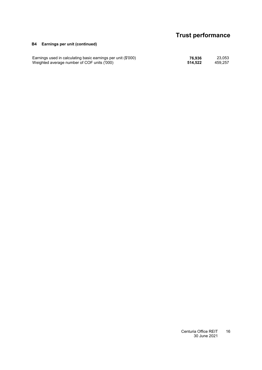# **Trust performance**

#### **[B4](#page-16-1) Earnings per unit (continued)**

Earnings used in calculating basic earnings per unit (\$'000) **76,936** 23,053 Weighted average number of COF units ('000) **514,522** 459,257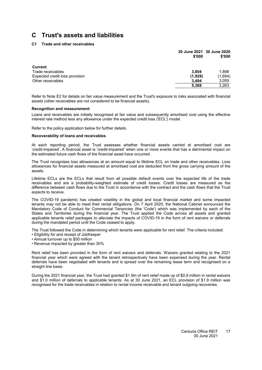#### <span id="page-18-0"></span>**[C1](#page-18-0) Trade and other receivables**

|                                | \$'000  | 30 June 2021 30 June 2020<br>\$'000 |
|--------------------------------|---------|-------------------------------------|
| Current                        |         |                                     |
| Trade receivables              | 3.804   | 1,898                               |
| Expected credit loss provision | (1,929) | (1,694)                             |
| Other receivables              | 3.494   | 3,059                               |
|                                | 5,369   | 3,263                               |
|                                |         |                                     |

Refer to Note [E2](#page-32-2) for details on fair value measurement and the Trust's exposure to risks associated with financial assets (other receivables are not considered to be financial assets).

#### **Recognition and measurement**

Loans and receivables are initially recognised at fair value and subsequently amortised cost using the effective interest rate method less any allowance under the expected credit loss ('ECL') model.

Refer to the policy application below for further details.

#### **Recoverability of loans and receivables**

At each reporting period, the Trust assesses whether financial assets carried at amortised cost are 'credit-impaired'. A financial asset is 'credit-impaired' when one or more events that has a detrimental impact on the estimated future cash flows of the financial asset have occurred.

The Trust recognises loss allowances at an amount equal to lifetime ECL on trade and other receivables. Loss allowances for financial assets measured at amortised cost are deducted from the gross carrying amount of the assets.

Lifetime ECLs are the ECLs that result from all possible default events over the expected life of the trade receivables and are a probability-weighted estimate of credit losses. Credit losses are measured as the difference between cash flows due to the Trust in accordance with the contract and the cash flows that the Trust expects to receive.

The COVID-19 pandemic has created volatility in the global and local financial market and some impacted tenants may not be able to meet their rental obligations. On 7 April 2020, the National Cabinet announced the Mandatory Code of Conduct for Commercial Tenancies (the 'Code') which was implemented by each of the States and Territories during the financial year. The Trust applied the Code across all assets and granted applicable tenants relief packages to alleviate the impacts of COVID-19 in the form of rent waivers or deferrals during the mandated period until the Code ceased to apply.

The Trust followed the Code in determining which tenants were applicable for rent relief. The criteria included:

- Eligibility for and receipt of JobKeeper
- Annual turnover up to \$50 million
- Revenue impacted by greater than 30%

Rent relief has been provided in the form of rent waivers and deferrals. Waivers granted relating to the 2021 financial year which were agreed with the tenant retrospectively have been expensed during the year. Rental deferrals have been negotiated with tenants and is spread over the remaining lease term and recognised on a straight line basis.

During the 2021 financial year, the Trust had granted \$1.9m of rent relief made up of \$0.9 million in rental waivers and \$1.0 million of deferrals to applicable tenants. As at 30 June 2021, an ECL provision of \$1.9 million was recognised for the trade receivables in relation to rental income receivable and tenant outgoing recoveries.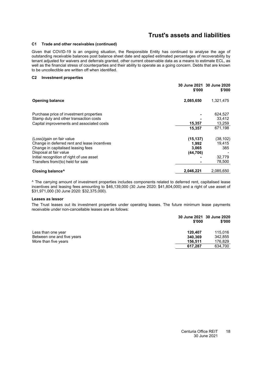#### **[C1](#page-18-0) Trade and other receivables (continued)**

Given that COVID-19 is an ongoing situation, the Responsible Entity has continued to analyse the age of outstanding receivable balances post balance sheet date and applied estimated percentages of recoverability by tenant adjusted for waivers and deferrals granted, other current observable data as a means to estimate ECL, as well as the financial stress of counterparties and their ability to operate as a going concern. Debts that are known to be uncollectible are written off when identified.

#### **[C2](#page-13-0) Investment properties**

|                                                                                                              | \$'000                      | 30 June 2021 30 June 2020<br>\$'000 |
|--------------------------------------------------------------------------------------------------------------|-----------------------------|-------------------------------------|
| <b>Opening balance</b>                                                                                       | 2,085,650                   | 1,321,475                           |
| Purchase price of investment properties<br>Stamp duty and other transaction costs                            |                             | 624,527<br>33,412                   |
| Capital improvements and associated costs                                                                    | 15,357<br>15,357            | 13,259<br>671.198                   |
| (Loss)/gain on fair value                                                                                    | (15, 137)                   | (38, 102)                           |
| Change in deferred rent and lease incentives<br>Change in capitalised leasing fees<br>Disposal at fair value | 1.992<br>3,065<br>(44, 706) | 19,415<br>385                       |
| Initial recognition of right of use asset<br>Transfers from/(to) held for sale                               |                             | 32,779<br>78,500                    |
| Closing balance <sup>^</sup>                                                                                 | 2,046,221                   | 2,085,650                           |

^ The carrying amount of investment properties includes components related to deferred rent, capitalised lease incentives and leasing fees amounting to \$46,139,000 (30 June 2020: \$41,804,000) and a right of use asset of \$31,971,000 (30 June 2020: \$32,375,000).

#### **Leases as lessor**

The Trust leases out its investment properties under operating leases. The future minimum lease payments receivable under non-cancellable leases are as follows:

|                            | \$'000  | 30 June 2021 30 June 2020<br>\$'000 |
|----------------------------|---------|-------------------------------------|
| Less than one year         | 120.407 | 115.016                             |
| Between one and five years | 340.369 | 342.855                             |
| More than five years       | 156.511 | 176.829                             |
|                            | 617.287 | 634,700                             |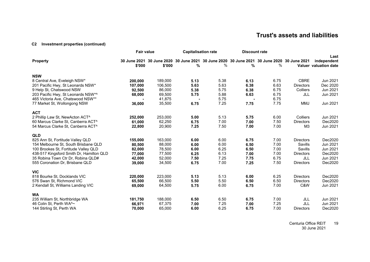#### **[C2](#page-13-4) Investment properties (continued)**

|                                          | <b>Fair value</b> |         | <b>Capitalisation rate</b> |                                                                                            | <b>Discount rate</b> |      |                  |                              |
|------------------------------------------|-------------------|---------|----------------------------|--------------------------------------------------------------------------------------------|----------------------|------|------------------|------------------------------|
| <b>Property</b>                          |                   |         |                            | 30 June 2021 30 June 2020 30 June 2021 30 June 2020 30 June 2021 30 June 2020 30 June 2021 |                      |      |                  | Last<br>independent          |
|                                          | \$'000            | \$'000  | %                          | %                                                                                          | %                    | %    |                  | <b>Valuer</b> valuation date |
| <b>NSW</b>                               |                   |         |                            |                                                                                            |                      |      |                  |                              |
| 8 Central Ave, Eveleigh NSW*             | 200.000           | 189,000 | 5.13                       | 5.38                                                                                       | 6.13                 | 6.75 | <b>CBRE</b>      | Jun 2021                     |
| 201 Pacific Hwy, St Leonards NSW*        | 107,000           | 106,500 | 5.63                       | 5.63                                                                                       | 6.38                 | 6.63 | <b>Directors</b> | Dec 2020                     |
| 9 Help St, Chatswood NSW                 | 92,500            | 86,000  | 5.38                       | 5.75                                                                                       | 6.38                 | 6.75 | <b>Colliers</b>  | Jun 2021                     |
| 203 Pacific Hwy, St Leonards NSW*^       | 68,000            | 69,500  | 5.75                       | 5.88                                                                                       | 6.63                 | 6.75 | JLL              | Jun 2021                     |
| 465 Victoria Ave, Chatswood NSW**        |                   | 41,875  |                            | 5.75                                                                                       |                      | 6.75 |                  |                              |
| 77 Market St, Wollongong NSW             | 36,000            | 35,500  | 6.75                       | 7.25                                                                                       | 7.75                 | 7.75 | MMJ              | Jun 2021                     |
| <b>ACT</b>                               |                   |         |                            |                                                                                            |                      |      |                  |                              |
| 2 Phillip Law St, NewActon ACT^          | 252,000           | 253,000 | 5.00                       | 5.13                                                                                       | 5.75                 | 6.00 | Colliers         | Jun 2021                     |
| 60 Marcus Clarke St, Canberra ACT^       | 61,000            | 62,250  | 6.75                       | 7.00                                                                                       | 7.00                 | 7.50 | <b>Directors</b> | Dec2020                      |
| 54 Marcus Clarke St, Canberra ACT^       | 22,800            | 20,900  | 7.25                       | 7.50                                                                                       | 7.00                 | 7.00 | M <sub>3</sub>   | Jun 2021                     |
| <b>QLD</b>                               |                   |         |                            |                                                                                            |                      |      |                  |                              |
| 825 Ann St, Fortitude Valley QLD         | 155,000           | 163,000 | 6.00                       | 6.00                                                                                       | 6.75                 | 7.00 | <b>Directors</b> | Dec2020                      |
| 154 Melbourne St, South Brisbane QLD     | 80,500            | 88,000  | 6.00                       | 6.00                                                                                       | 6.50                 | 7.00 | Savills          | Jun 2021                     |
| 100 Brookes St, Fortitude Valley QLD     | 82,000            | 78,500  | 6.00                       | 6.25                                                                                       | 6.50                 | 7.00 | Savills          | Jun 2021                     |
| 438-517 Kingsford Smith Dr, Hamilton QLD | 77,000            | 77,500  | 6.25                       | 6.13                                                                                       | 7.00                 | 7.00 | <b>Directors</b> | Dec2020                      |
| 35 Robina Town Ctr Dr, Robina QLD#       | 42,000            | 52,000  | 7.50                       | 7.25                                                                                       | 7.75                 | 6.75 | JLL              | Jun 2021                     |
| 555 Coronation Dr, Brisbane QLD          | 39,000            | 34,500  | 6.75                       | 7.00                                                                                       | 7.25                 | 7.50 | <b>Directors</b> | Dec2020                      |
| <b>VIC</b>                               |                   |         |                            |                                                                                            |                      |      |                  |                              |
| 818 Bourke St, Docklands VIC             | 220,000           | 223,000 | 5.13                       | 5.13                                                                                       | 6.00                 | 6.25 | <b>Directors</b> | Dec2020                      |
| 576 Swan St, Richmond VIC                | 65,500            | 66,500  | 5.50                       | 5.50                                                                                       | 6.50                 | 6.50 | <b>Directors</b> | Dec2020                      |
| 2 Kendall St, Williams Landing VIC       | 69,000            | 64,500  | 5.75                       | 6.00                                                                                       | 6.75                 | 7.00 | C&W              | Jun 2021                     |
| <b>WA</b>                                |                   |         |                            |                                                                                            |                      |      |                  |                              |
| 235 William St, Northbridge WA           | 181,750           | 188,000 | 6.50                       | 6.50                                                                                       | 6.75                 | 7.00 | JLL              | Jun 2021                     |
| 46 Colin St, Perth WA^~                  | 66,971            | 67,375  | 7.00                       | 7.25                                                                                       | 7.00                 | 7.25 | JLL              | Jun 2021                     |
| 144 Stirling St, Perth WA                | 70,000            | 65,000  | 6.00                       | 6.25                                                                                       | 6.75                 | 7.00 | <b>Directors</b> | Dec2020                      |

Centuria Office REIT 30 June 2021 19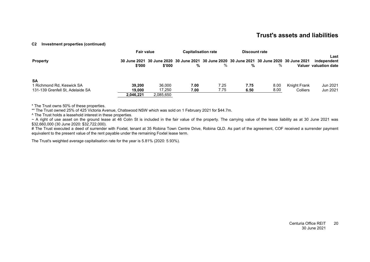#### **[C2](#page-13-4) Investment properties (continued)**

|                                                                            | <b>Fair value</b> |                                                                                                      | <b>Capitalisation rate</b> |              | Discount rate |              |                                 |                                              |
|----------------------------------------------------------------------------|-------------------|------------------------------------------------------------------------------------------------------|----------------------------|--------------|---------------|--------------|---------------------------------|----------------------------------------------|
| <b>Property</b>                                                            | \$'000            | 30 June 2021 30 June 2020 30 June 2021 30 June 2020 30 June 2021 30 June 2020 30 June 2021<br>\$'000 | %                          | %            | %             | %            |                                 | Last<br>independent<br>Valuer valuation date |
| <b>SA</b><br>1 Richmond Rd. Keswick SA<br>131-139 Grenfell St. Adelaide SA | 39.200<br>19.000  | 36,000<br>17.250                                                                                     | 7.00<br>7.00               | 7.25<br>7.75 | 7.75<br>6.50  | 8.00<br>8.00 | Knight Frank<br><b>Colliers</b> | Jun 2021<br>Jun 2021                         |
|                                                                            | 2.046.221         | 2,085,650                                                                                            |                            |              |               |              |                                 |                                              |

\* The Trust owns 50% of these properties.

\*\*\* The Trust owned 25% of 425 Victoria Avenue, Chatswood NSW which was sold on 1 February 2021 for \$44.7m.

^ The Trust holds a leasehold interest in these properties.

~ A right of use asset on the ground lease at 46 Colin St is included in the fair value of the property. The carrying value of the lease liability as at 30 June 2021 was \$32,660,000 (30 June 2020: \$32,722,000).

# The Trust executed a deed of surrender with Foxtel, tenant at 35 Robina Town Centre Drive, Robina QLD. As part of the agreement, COF received a surrender payment equivalent to the present value of the rent payable under the remaining Foxtel lease term.

The Trust's weighted average capitalisation rate for the year is 5.81% (2020: 5.93%).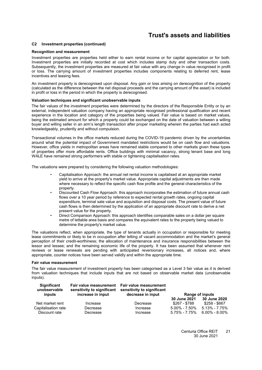#### **[C2](#page-13-0) Investment properties (continued)**

#### **Recognition and measurement**

Investment properties are properties held either to earn rental income or for capital appreciation or for both. Investment properties are initially recorded at cost which includes stamp duty and other transaction costs. Subsequently, the investment properties are measured at fair value with any change in value recognised in profit or loss. The carrying amount of investment properties includes components relating to deferred rent, lease incentives and leasing fees.

An investment property is derecognised upon disposal. Any gain or loss arising on derecognition of the property (calculated as the difference between the net disposal proceeds and the carrying amount of the asset) is included in profit or loss in the period in which the property is derecognised.

#### **Valuation techniques and significant unobservable inputs**

The fair values of the investment properties were determined by the directors of the Responsible Entity or by an external, independent valuation company having an appropriate recognised professional qualification and recent experience in the location and category of the properties being valued. Fair value is based on market values, being the estimated amount for which a property could be exchanged on the date of valuation between a willing buyer and willing seller in an arm's length transaction after proper marketing wherein the parties had each acted knowledgeably, prudently and without compulsion.

Transactional volumes in the office markets reduced during the COVID-19 pandemic driven by the uncertainties around what the potential impact of Government mandated restrictions would be on cash flow and valuations. However, office yields in metropolitan areas have remained stable compared to other markets given these types of properties offer more affordable rents. Office buildings with minimal vacancy, strong tenant base and long WALE have remained strong performers with stable or tightening capitalisation rates.

The valuations were prepared by considering the following valuation methodologies:

- Capitalisation Approach: the annual net rental income is capitalised at an appropriate market yield to arrive at the property's market value. Appropriate capital adjustments are then made where necessary to reflect the specific cash flow profile and the general characteristics of the property.
- Discounted Cash Flow Approach: this approach incorporates the estimation of future annual cash flows over a 10 year period by reference to expected rental growth rates, ongoing capital expenditure, terminal sale value and acquisition and disposal costs. The present value of future cash flows is then determined by the application of an appropriate discount rate to derive a net present value for the property.
- Direct Comparison Approach: this approach identifies comparable sales on a dollar per square metre of lettable area basis and compares the equivalent rates to the property being valued to determine the property's market value.

The valuations reflect, when appropriate, the type of tenants actually in occupation or responsible for meeting lease commitments or likely to be in occupation after letting of vacant accommodation and the market's general perception of their credit-worthiness; the allocation of maintenance and insurance responsibilities between the lessor and lessee; and the remaining economic life of the property. It has been assumed that whenever rent reviews or lease renewals are pending with anticipated reversionary increases, all notices and, where appropriate, counter notices have been served validly and within the appropriate time.

#### **Fair value measurement**

The fair value measurement of investment property has been categorised as a Level 3 fair value as it is derived from valuation techniques that include inputs that are not based on observable market data (unobservable inputs).

| <b>Significant</b><br>unobservable<br>inputs | sensitivity to significant<br>increase in input | Fair value measurement Fair value measurement<br>sensitivity to significant<br>decrease in input |                     | Range of inputs     |
|----------------------------------------------|-------------------------------------------------|--------------------------------------------------------------------------------------------------|---------------------|---------------------|
|                                              |                                                 |                                                                                                  | 30 June 2021        | <b>30 June 2020</b> |
| Net market rent                              | Increase                                        | Decrease                                                                                         | \$267 - \$788       | \$258 - \$667       |
| Capitalisation rate                          | Decrease                                        | Increase                                                                                         | $5.00\%$ - $7.50\%$ | $5.13\% - 7.75\%$   |
| Discount rate                                | Decrease                                        | Increase                                                                                         | $5.75\% - 7.75\%$   | $6.00\% - 8.00\%$   |

Centuria Office REIT 30 June 2021  $21$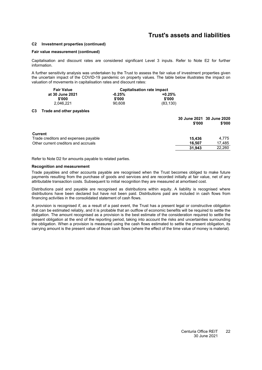#### **[C2](#page-13-0) Investment properties (continued)**

#### **Fair value measurement (continued)**

Capitalisation and discount rates are considered significant Level 3 inputs. Refer to Note [E2](#page-32-2) for further information.

A further sensitivity analysis was undertaken by the Trust to assess the fair value of investment properties given the uncertain impact of the COVID-19 pandemic on property values. The table below illustrates the impact on valuation of movements in capitalisation rates and discount rates:

| <b>Fair Value</b> | Capitalisation rate impact |           |  |  |
|-------------------|----------------------------|-----------|--|--|
| at 30 June 2021   | $-0.25\%$                  | $+0.25%$  |  |  |
| \$'000            | \$'000                     | \$'000    |  |  |
| 2.046.221         | 90.608                     | (83, 130) |  |  |

#### <span id="page-23-0"></span>**[C3](#page-23-0) Trade and other payables**

|                                      | \$'000 | 30 June 2021 30 June 2020<br>\$'000 |
|--------------------------------------|--------|-------------------------------------|
| <b>Current</b>                       |        |                                     |
| Trade creditors and expenses payable | 15.436 | 4.775                               |
| Other current creditors and accruals | 16.507 | 17,485                              |
|                                      | 31.943 | 22,260                              |

Refer to Note [D2](#page-28-0) for amounts payable to related parties.

#### **Recognition and measurement**

Trade payables and other accounts payable are recognised when the Trust becomes obliged to make future payments resulting from the purchase of goods and services and are recorded initially at fair value, net of any attributable transaction costs. Subsequent to initial recognition they are measured at amortised cost.

Distributions paid and payable are recognised as distributions within equity. A liability is recognised where distributions have been declared but have not been paid. Distributions paid are included in cash flows from financing activities in the consolidated statement of cash flows.

A provision is recognised if, as a result of a past event, the Trust has a present legal or constructive obligation that can be estimated reliably, and it is probable that an outflow of economic benefits will be required to settle the obligation. The amount recognised as a provision is the best estimate of the consideration required to settle the present obligation at the end of the reporting period, taking into account the risks and uncertainties surrounding the obligation. When a provision is measured using the cash flows estimated to settle the present obligation, its carrying amount is the present value of those cash flows (where the effect of the time value of money is material).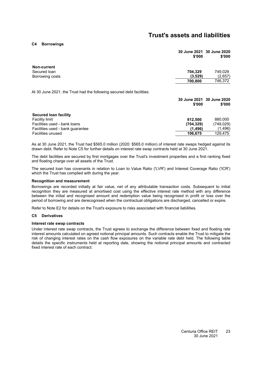<span id="page-24-0"></span>**[C4](#page-24-0) Borrowings**

|                                                                       | 30 June 2021 30 June 2020<br>\$'000 | \$'000  |
|-----------------------------------------------------------------------|-------------------------------------|---------|
| Non-current                                                           |                                     |         |
| Secured Ioan                                                          | 704.329                             | 749,029 |
| Borrowing costs                                                       | (3,529)                             | (2,657) |
|                                                                       | 700,800                             | 746,372 |
| At 30 June 2021, the Trust had the following secured debt facilities: |                                     |         |

|                                  | 30 June 2021 30 June 2020 |            |
|----------------------------------|---------------------------|------------|
|                                  | \$'000                    | \$'000     |
| Secured Ioan facility            |                           |            |
| <b>Facility limit</b>            | 812.500                   | 880.000    |
| Facilities used - bank loans     | (704, 329)                | (749, 029) |
| Facilities used - bank quarantee | (1.496)                   | (1,496)    |
| <b>Facilities unused</b>         | 106.675                   | 129.475    |

As at 30 June 2021, the Trust had \$565.0 million (2020: \$565.0 million) of interest rate swaps hedged against its drawn debt. Refer to Note [C5](#page-24-1) for further details on interest rate swap contracts held at 30 June 2021.

The debt facilities are secured by first mortgages over the Trust's investment properties and a first ranking fixed and floating charge over all assets of the Trust.

The secured loan has covenants in relation to Loan to Value Ratio ('LVR') and Interest Coverage Ratio ('ICR') which the Trust has complied with during the year.

#### **Recognition and measurement**

Borrowings are recorded initially at fair value, net of any attributable transaction costs. Subsequent to initial recognition they are measured at amortised cost using the effective interest rate method with any difference between the initial and recognised amount and redemption value being recognised in profit or loss over the period of borrowing and are derecognised when the contractual obligations are discharged, cancelled or expire.

<span id="page-24-1"></span>Refer to Note [E2](#page-32-2) for details on the Trust's exposure to risks associated with financial liabilities.

#### **[C5](#page-24-1) Derivatives**

#### **Interest rate swap contracts**

Under interest rate swap contracts, the Trust agrees to exchange the difference between fixed and floating rate interest amounts calculated on agreed notional principal amounts. Such contracts enable the Trust to mitigate the risk of changing interest rates on the cash flow exposures on the variable rate debt held. The following table details the specific instruments held at reporting date, showing the notional principal amounts and contracted fixed interest rate of each contract: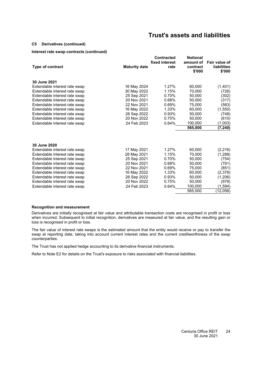#### **[C5](#page-24-1) Derivatives (continued)**

#### **Interest rate swap contracts (continued)**

|                               |                      | <b>Contracted</b>      | <b>Notional</b>                 |                                               |
|-------------------------------|----------------------|------------------------|---------------------------------|-----------------------------------------------|
| <b>Type of contract</b>       | <b>Maturity date</b> | fixed interest<br>rate | amount of<br>contract<br>\$'000 | Fair value of<br><b>liabilities</b><br>\$'000 |
| 30 June 2021                  |                      |                        |                                 |                                               |
| Extendable interest rate swap | 16 May 2024          | 1.27%                  | 60,000                          | (1,401)                                       |
| Extendable interest rate swap | 30 May 2022          | 1.15%                  | 70.000                          | (726)                                         |
| Extendable interest rate swap | 25 Sep 2021          | 0.70%                  | 50,000                          | (302)                                         |
| Extendable interest rate swap | 20 Nov 2021          | 0.68%                  | 50,000                          | (317)                                         |
| Extendable interest rate swap | 22 Nov 2021          | 0.69%                  | 75,000                          | (583)                                         |
| Extendable interest rate swap | 16 May 2022          | 1.33%                  | 60,000                          | (1,550)                                       |
| Extendable interest rate swap | 26 Sep 2022          | 0.93%                  | 50,000                          | (748)                                         |
| Extendable interest rate swap | 20 Nov 2022          | 0.75%                  | 50,000                          | (610)                                         |
| Extendable interest rate swap | 24 Feb 2023          | 0.64%                  | 100,000                         | (1,003)                                       |
|                               |                      |                        | 565,000                         | (7, 240)                                      |
|                               |                      |                        |                                 |                                               |
| 30 June 2020                  |                      |                        |                                 |                                               |
| Extendable interest rate swap | 17 May 2021          | 1.27%                  | 60,000                          | (2, 216)                                      |
| Extendable interest rate swap | 28 May 2021          | 1.15%                  | 70.000                          | (1,288)                                       |
| Extendable interest rate swap | 25 Sep 2021          | 0.70%                  | 50,000                          | (754)                                         |
| Extendable interest rate swap | 20 Nov 2021          | 0.68%                  | 50,000                          | (791)                                         |
| Extendable interest rate swap | 22 Nov 2021          | 0.69%                  | 75,000                          | (851)                                         |
| Extendable interest rate swap | 16 May 2022          | 1.33%                  | 60,000                          | (2,378)                                       |
| Extendable interest rate swap | 26 Sep 2022          | 0.93%                  | 50,000                          | (1, 206)                                      |
| Extendable interest rate swap | 20 Nov 2022          | 0.75%                  | 50,000                          | (978)                                         |
| Extendable interest rate swap | 24 Feb 2023          | 0.64%                  | 100,000                         | (1, 594)                                      |
|                               |                      |                        | 565,000                         | (12,056)                                      |

#### **Recognition and measurement**

Derivatives are initially recognised at fair value and attributable transaction costs are recognised in profit or loss when incurred. Subsequent to initial recognition, derivatives are measured at fair value, and the resulting gain or loss is recognised in profit or loss.

The fair value of interest rate swaps is the estimated amount that the entity would receive or pay to transfer the swap at reporting date, taking into account current interest rates and the current creditworthiness of the swap counterparties.

The Trust has not applied hedge accounting to its derivative financial instruments.

Refer to Note [E2](#page-32-2) for details on the Trust's exposure to risks associated with financial liabilities.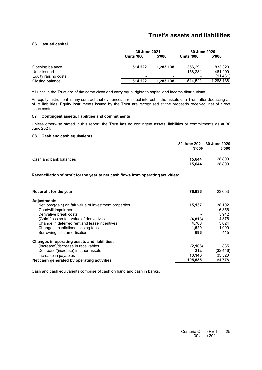#### <span id="page-26-0"></span>**[C6](#page-26-0) Issued capital**

|                      | 30 June 2021      |           | 30 June 2020      |           |
|----------------------|-------------------|-----------|-------------------|-----------|
|                      | <b>Units '000</b> | \$'000    | <b>Units '000</b> | \$'000    |
| Opening balance      | 514.522           | 1.283.138 | 356,291           | 833,320   |
| Units issued         |                   | -         | 158,231           | 461,299   |
| Equity raising costs |                   | -         | $\blacksquare$    | (11,481)  |
| Closing balance      | 514.522           | 1,283,138 | 514.522           | 1,283,138 |

All units in the Trust are of the same class and carry equal rights to capital and income distributions.

An equity instrument is any contract that evidences a residual interest in the assets of a Trust after deducting all of its liabilities. Equity instruments issued by the Trust are recognised at the proceeds received, net of direct issue costs.

#### <span id="page-26-1"></span>**[C7](#page-26-1) Contingent assets, liabilities and commitments**

<span id="page-26-2"></span>Unless otherwise stated in this report, the Trust has no contingent assets, liabilities or commitments as at 30 June 2021.

#### **[C8](#page-26-2) Cash and cash equivalents**

|                        | 30 June 2021 30 June 2020<br>\$'000 | \$'000 |
|------------------------|-------------------------------------|--------|
| Cash and bank balances | 15.644                              | 28,809 |
|                        | 15.644                              | 28,809 |

#### **Reconciliation of profit for the year to net cash flows from operating activities:**

| Net profit for the year                                | 76,936   | 23,053    |
|--------------------------------------------------------|----------|-----------|
| <b>Adjustments:</b>                                    |          |           |
| Net loss/(gain) on fair value of investment properties | 15,137   | 38,102    |
| Goodwill impairment                                    |          | 6,356     |
| Derivative break costs                                 |          | 5,942     |
| (Gain)/loss on fair value of derivatives               | (4,816)  | 4,876     |
| Change in deferred rent and lease incentives           | 4,708    | 3,024     |
| Change in capitalised leasing fees                     | 1,520    | 1,099     |
| Borrowing cost amortisation                            | 696      | 415       |
| Changes in operating assets and liabilities:           |          |           |
| (Increase)/decrease in receivables                     | (2, 106) | 835       |
| Decrease/(increase) in other assets                    | 314      | (32, 446) |
| Increase in payables                                   | 13,146   | 33,520    |
| Net cash generated by operating activities             | 105,535  | 84.776    |

Cash and cash equivalents comprise of cash on hand and cash in banks.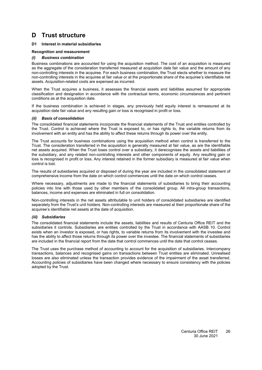#### <span id="page-27-1"></span><span id="page-27-0"></span>**[D1](#page-27-1) Interest in material subsidiaries**

#### **Recognition and measurement**

#### *(i) Business combination*

Business combinations are accounted for using the acquisition method. The cost of an acquisition is measured as the aggregate of the consideration transferred measured at acquisition date fair value and the amount of any non-controlling interests in the acquiree. For each business combination, the Trust elects whether to measure the non-controlling interests in the acquiree at fair value or at the proportionate share of the acquiree's identifiable net assets. Acquisition-related costs are expensed as incurred.

When the Trust acquires a business, it assesses the financial assets and liabilities assumed for appropriate classification and designation in accordance with the contractual terms, economic circumstances and pertinent conditions as at the acquisition date.

If the business combination is achieved in stages, any previously held equity interest is remeasured at its acquisition date fair value and any resulting gain or loss is recognised in profit or loss.

#### *(ii) Basis of consolidation*

The consolidated financial statements incorporate the financial statements of the Trust and entities controlled by the Trust. Control is achieved where the Trust is exposed to, or has rights to, the variable returns from its involvement with an entity and has the ability to affect these returns through its power over the entity.

The Trust accounts for business combinations using the acquisition method when control is transferred to the Trust. The consideration transferred in the acquisition is generally measured at fair value, as are the identifiable net assets acquired. When the Trust loses control over a subsidiary, it derecognises the assets and liabilities of the subsidiary, and any related non-controlling interests and other components of equity. Any resulting gain or loss is recognised in profit or loss. Any interest retained in the former subsidiary is measured at fair value when control is lost.

The results of subsidiaries acquired or disposed of during the year are included in the consolidated statement of comprehensive income from the date on which control commences until the date on which control ceases.

Where necessary, adjustments are made to the financial statements of subsidiaries to bring their accounting policies into line with those used by other members of the consolidated group. All intra-group transactions, balances, income and expenses are eliminated in full on consolidation.

Non-controlling interests in the net assets attributable to unit holders of consolidated subsidiaries are identified separately from the Trust's unit holders. Non-controlling interests are measured at their proportionate share of the acquiree's identifiable net assets at the date of acquisition.

#### *(iii) Subsidiaries*

The consolidated financial statements include the assets, liabilities and results of Centuria Office REIT and the subsidiaries it controls. Subsidiaries are entities controlled by the Trust in accordance with AASB 10. Control exists when an investor is exposed, or has rights, to variable returns from its involvement with the investee and has the ability to affect those returns through its power over the investee. The financial statements of subsidiaries are included in the financial report from the date that control commences until the date that control ceases.

The Trust uses the purchase method of accounting to account for the acquisition of subsidiaries. Intercompany transactions, balances and recognised gains on transactions between Trust entities are eliminated. Unrealised losses are also eliminated unless the transaction provides evidence of the impairment of the asset transferred. Accounting policies of subsidiaries have been changed where necessary to ensure consistency with the policies adopted by the Trust.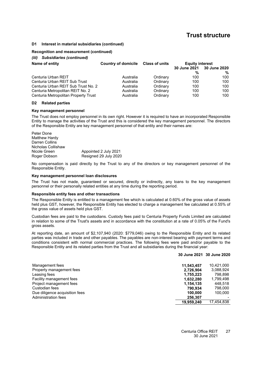#### **[D1](#page-27-1) Interest in material subsidiaries (continued)**

#### **Recognition and measurement (continued)**

#### *(iii) Subsidiaries (continued)*

| Name of entity                       | Country of domicile Class of units |          | <b>Equity interest</b> |              |
|--------------------------------------|------------------------------------|----------|------------------------|--------------|
|                                      |                                    |          | 30 June 2021           | 30 June 2020 |
|                                      |                                    |          | %                      | %            |
| Centuria Urban REIT                  | Australia                          | Ordinary | 100                    | 100          |
| Centuria Urban REIT Sub Trust        | Australia                          | Ordinary | 100                    | 100          |
| Centuria Urban REIT Sub Trust No. 2  | Australia                          | Ordinary | 100                    | 100          |
| Centuria Metropolitan REIT No. 2     | Australia                          | Ordinary | 100                    | 100          |
| Centuria Metropolitan Property Trust | Australia                          | Ordinary | 100                    | 100          |

#### <span id="page-28-0"></span>**[D2](#page-28-0) Related parties**

#### **Key management personnel**

The Trust does not employ personnel in its own right. However it is required to have an incorporated Responsible Entity to manage the activities of the Trust and this is considered the key management personnel. The directors of the Responsible Entity are key management personnel of that entity and their names are:

Peter Done Matthew Hardy Darren Collins Nicholas Collishaw<br>Nicole Green Nicole Green **Appointed 2 July 2021**<br>Roger Dobson Resigned 29 July 2020 Resigned 29 July 2020

No compensation is paid directly by the Trust to any of the directors or key management personnel of the Responsible Entity.

#### **Key management personnel loan disclosures**

The Trust has not made, guaranteed or secured, directly or indirectly, any loans to the key management personnel or their personally related entities at any time during the reporting period.

#### **Responsible entity fees and other transactions**

The Responsible Entity is entitled to a management fee which is calculated at 0.60% of the gross value of assets held plus GST, however, the Responsible Entity has elected to charge a management fee calculated at 0.55% of the gross value of assets held plus GST.

Custodian fees are paid to the custodians. Custody fees paid to Centuria Property Funds Limited are calculated in relation to some of the Trust's assets and in accordance with the constitution at a rate of 0.05% of the Fund's gross assets.

At reporting date, an amount of \$2,107,940 (2020: \$779,046) owing to the Responsible Entity and its related parties was included in trade and other payables. The payables are non-interest bearing with payment terms and conditions consistent with normal commercial practices. The following fees were paid and/or payable to the Responsible Entity and its related parties from the Trust and all subsidiaries during the financial year:

| Management fees                | 11,543,457 | 10.421.000 |
|--------------------------------|------------|------------|
| Property management fees       | 2,726,904  | 3,088,924  |
| Leasing fees                   | 1,755,223  | 798.898    |
| Facility management fees       | 1.632.280  | 1,799,498  |
| Project management fees        | 1,154,135  | 448.518    |
| Custodian fees                 | 790.934    | 798,000    |
| Due diligence acquisition fees | 100.000    | 100.000    |
| Administration fees            | 256,307    |            |
|                                | 19,959,240 | 17,454,838 |

**30 June 2021 30 June 2020**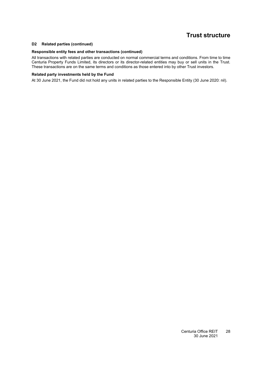#### **[D2](#page-28-0) Related parties (continued)**

#### **Responsible entity fees and other transactions (continued)**

All transactions with related parties are conducted on normal commercial terms and conditions. From time to time Centuria Property Funds Limited, its directors or its director-related entities may buy or sell units in the Trust. These transactions are on the same terms and conditions as those entered into by other Trust investors.

#### **Related party investments held by the Fund**

At 30 June 2021, the Fund did not hold any units in related parties to the Responsible Entity (30 June 2020: nil).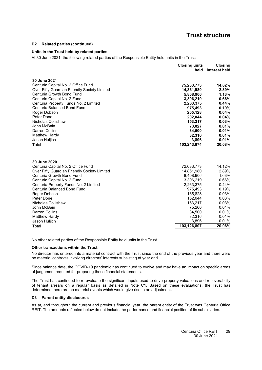#### **[D2](#page-28-0) Related parties (continued)**

#### **Units in the Trust held by related parties**

At 30 June 2021, the following related parties of the Responsible Entity hold units in the Trust:

|                                              | <b>Closing units</b><br>held | <b>Closing</b><br>interest held |
|----------------------------------------------|------------------------------|---------------------------------|
| 30 June 2021                                 |                              |                                 |
| Centuria Capital No. 2 Office Fund           | 75,233,773                   | 14.62%                          |
| Over Fifty Guardian Friendly Society Limited | 14,861,980                   | 2.89%                           |
| Centuria Growth Bond Fund                    | 5,808,906                    | 1.13%                           |
| Centuria Capital No. 2 Fund                  | 3,396,219                    | 0.66%                           |
| Centuria Property Funds No. 2 Limited        | 2,263,375                    | 0.44%                           |
| Centuria Balanced Bond Fund                  | 975,493                      | 0.19%                           |
| Roger Dobson                                 | 205,128                      | 0.04%                           |
| Peter Done                                   | 202,044                      | 0.04%                           |
| Nicholas Collishaw                           | 153,217                      | 0.03%                           |
| John McBain                                  | 73,027                       | 0.01%                           |
| <b>Darren Collins</b>                        | 34,500                       | 0.01%                           |
| Matthew Hardy                                | 32,316                       | 0.01%                           |
| Jason Huljich                                | 3,896                        | 0.01%                           |
| Total                                        | 103,243,874                  | 20.08%                          |
|                                              |                              |                                 |
| 30 June 2020                                 |                              |                                 |
| Centuria Capital No. 2 Office Fund           | 72,633,773                   | 14.12%                          |
| Over Fifty Guardian Friendly Society Limited | 14,861,980                   | 2.89%                           |
| Centuria Growth Bond Fund                    | 8,408,906                    | 1.63%                           |
| Centuria Capital No. 2 Fund                  | 3,396,219                    | 0.66%                           |
| Centuria Property Funds No. 2 Limited        | 2,263,375                    | 0.44%                           |
| Centuria Balanced Bond Fund                  | 975,493                      | 0.19%                           |
| Roger Dobson                                 | 135,828                      | 0.03%                           |
| Peter Done                                   | 152,044                      | 0.03%                           |
| Nicholas Collishaw                           | 153,217                      | 0.03%                           |
| John McBain                                  | 75,260                       | 0.01%                           |
| Darren Collins                               | 34,500                       | 0.01%                           |
| <b>Matthew Hardy</b>                         | 32,316                       | 0.01%                           |
| Jason Huljich                                | 3,896                        | 0.01%                           |
| Total                                        | 103,126,807                  | 20.06%                          |

No other related parties of the Responsible Entity held units in the Trust.

#### **Other transactions within the Trust**

No director has entered into a material contract with the Trust since the end of the previous year and there were no material contracts involving directors' interests subsisting at year end.

Since balance date, the COVID-19 pandemic has continued to evolve and may have an impact on specific areas of judgement required for preparing these financial statements.

The Trust has continued to re-evaluate the significant inputs used to drive property valuations and recoverability of tenant arrears on a regular basis as detailed in Note C1. Based on these evaluations, the Trust has determined there are no material events which would give rise to an adjustment.

#### <span id="page-30-0"></span>**[D3](#page-30-0) Parent entity disclosures**

As at, and throughout the current and previous financial year, the parent entity of the Trust was Centuria Office REIT. The amounts reflected below do not include the performance and financial position of its subsidiaries.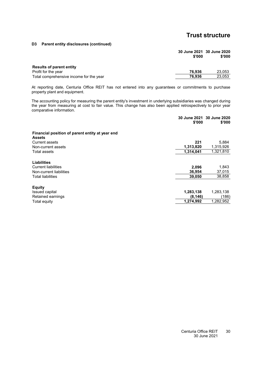**[D3](#page-30-0) Parent entity disclosures (continued)**

|                                         | 30 June 2021 30 June 2020<br>\$'000 | \$'000 |
|-----------------------------------------|-------------------------------------|--------|
| <b>Results of parent entity</b>         |                                     |        |
| Profit for the year                     | 76.936                              | 23,053 |
| Total comprehensive income for the year | 76.936                              | 23,053 |

At reporting date, Centuria Office REIT has not entered into any guarantees or commitments to purchase property plant and equipment.

The accounting policy for measuring the parent entity's investment in underlying subsidiaries was changed during the year from measuring at cost to fair value. This change has also been applied retrospectively to prior year comparative information.

|                                                                  | \$'000    | 30 June 2021 30 June 2020<br>\$'000 |
|------------------------------------------------------------------|-----------|-------------------------------------|
| Financial position of parent entity at year end<br><b>Assets</b> |           |                                     |
| <b>Current assets</b>                                            | 221       | 5,884                               |
| Non-current assets                                               | 1,313,820 | 1,315,926                           |
| Total assets                                                     | 1,314,041 | 1,321,810                           |
| Liabilities                                                      |           |                                     |
| <b>Current liabilities</b>                                       | 2,096     | 1,843                               |
| Non-current liabilities                                          | 36,954    | 37,015                              |
| Total liabilities                                                | 39,050    | 38,858                              |
| <b>Equity</b>                                                    |           |                                     |
| Issued capital                                                   | 1,283,138 | 1,283,138                           |
| Retained earnings                                                | (8, 146)  | (186)                               |
| Total equity                                                     | 1,274,992 | 1,282,952                           |
|                                                                  |           |                                     |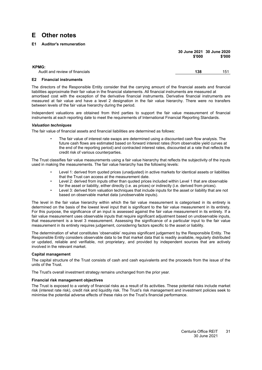### <span id="page-32-1"></span><span id="page-32-0"></span>**E Other notes**

#### **[E1](#page-32-1) Auditor's remuneration**

|                                                | \$'000 | 30 June 2021 30 June 2020<br>\$'000 |
|------------------------------------------------|--------|-------------------------------------|
| <b>KPMG:</b><br>Audit and review of financials | 138    | 151                                 |

#### <span id="page-32-2"></span>**[E2](#page-32-2) Financial instruments**

The directors of the Responsible Entity consider that the carrying amount of the financial assets and financial liabilities approximate their fair value in the financial statements. All financial instruments are measured at amortised cost with the exception of the derivative financial instruments. Derivative financial instruments are measured at fair value and have a level 2 designation in the fair value hierarchy. There were no transfers between levels of the fair value hierarchy during the period.

Independent valuations are obtained from third parties to support the fair value measurement of financial instruments at each reporting date to meet the requirements of International Financial Reporting Standards.

#### *Valuation techniques*

The fair value of financial assets and financial liabilities are determined as follows:

• The fair value of interest rate swaps are determined using a discounted cash flow analysis. The future cash flows are estimated based on forward interest rates (from observable yield curves at the end of the reporting period) and contracted interest rates, discounted at a rate that reflects the credit risk of various counterparties.

The Trust classifies fair value measurements using a fair value hierarchy that reflects the subjectivity of the inputs used in making the measurements. The fair value hierarchy has the following levels:

- Level 1: derived from quoted prices (unadjusted) in active markets for identical assets or liabilities that the Trust can access at the measurement date.
- Level 2: derived from inputs other than quoted prices included within Level 1 that are observable for the asset or liability, either directly (i.e. as prices) or indirectly (i.e. derived from prices).
- Level 3: derived from valuation techniques that include inputs for the asset or liability that are not based on observable market data (unobservable inputs).

The level in the fair value hierarchy within which the fair value measurement is categorised in its entirety is determined on the basis of the lowest level input that is significant to the fair value measurement in its entirety. For this purpose, the significance of an input is assessed against the fair value measurement in its entirety. If a fair value measurement uses observable inputs that require significant adjustment based on unobservable inputs, that measurement is a level 3 measurement. Assessing the significance of a particular input to the fair value measurement in its entirety requires judgement, considering factors specific to the asset or liability.

The determination of what constitutes 'observable' requires significant judgement by the Responsible Entity. The Responsible Entity considers observable data to be that market data that is readily available, regularly distributed or updated, reliable and verifiable, not proprietary, and provided by independent sources that are actively involved in the relevant market.

#### **Capital management**

The capital structure of the Trust consists of cash and cash equivalents and the proceeds from the issue of the units of the Trust.

The Trust's overall investment strategy remains unchanged from the prior year.

#### **Financial risk management objectives**

The Trust is exposed to a variety of financial risks as a result of its activities. These potential risks include market risk (interest rate risk), credit risk and liquidity risk. The Trust's risk management and investment policies seek to minimise the potential adverse effects of these risks on the Trust's financial performance.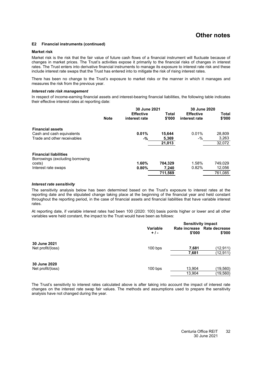#### **[E2](#page-32-2) Financial instruments (continued)**

#### **Market risk**

Market risk is the risk that the fair value of future cash flows of a financial instrument will fluctuate because of changes in market prices. The Trust's activities expose it primarily to the financial risks of changes in interest rates. The Trust enters into derivative financial instruments to manage its exposure to interest rate risk and these include interest rate swaps that the Trust has entered into to mitigate the risk of rising interest rates.

There has been no change to the Trust's exposure to market risks or the manner in which it manages and measures the risk from the previous year.

#### *Interest rate risk management*

In respect of income-earning financial assets and interest-bearing financial liabilities, the following table indicates their effective interest rates at reporting date:

|                                                                 |             | 30 June 2021                      |                 | 30 June 2020                      |                 |
|-----------------------------------------------------------------|-------------|-----------------------------------|-----------------|-----------------------------------|-----------------|
|                                                                 | <b>Note</b> | <b>Effective</b><br>interest rate | Total<br>\$'000 | <b>Effective</b><br>interest rate | Total<br>\$'000 |
| <b>Financial assets</b>                                         |             |                                   |                 |                                   |                 |
| Cash and cash equivalents                                       |             | 0.01%                             | 15.644          | 0.01%                             | 28,809          |
| Trade and other receivables                                     |             | -%                                | 5,369           | -%                                | 3,263           |
|                                                                 |             |                                   | 21,013          |                                   | 32,072          |
| <b>Financial liabilities</b><br>Borrowings (excluding borrowing |             |                                   |                 |                                   |                 |
| costs)                                                          |             | 1.60%                             | 704.329         | 1.58%                             | 749,029         |
| Interest rate swaps                                             |             | 0.80%                             | 7,240           | 0.82%                             | 12,056          |
|                                                                 |             |                                   | 711,569         |                                   | 761,085         |

#### *Interest rate sensitivity*

The sensitivity analysis below has been determined based on the Trust's exposure to interest rates at the reporting date and the stipulated change taking place at the beginning of the financial year and held constant throughout the reporting period, in the case of financial assets and financial liabilities that have variable interest rates.

At reporting date, if variable interest rates had been 100 (2020: 100) basis points higher or lower and all other variables were held constant, the impact to the Trust would have been as follows:

|                                   |                          | <b>Sensitivity impact</b> |                                       |  |
|-----------------------------------|--------------------------|---------------------------|---------------------------------------|--|
|                                   | <b>Variable</b><br>$+1-$ | \$'000                    | Rate increase Rate decrease<br>\$'000 |  |
| 30 June 2021<br>Net profit/(loss) | $100$ bps                | 7,681                     | (12, 911)                             |  |
|                                   |                          | 7,681                     | (12, 911)                             |  |
| 30 June 2020                      |                          |                           |                                       |  |
| Net profit/(loss)                 | $100$ bps                | 13,904                    | (19, 560)                             |  |
|                                   |                          | 13,904                    | (19,560)                              |  |

The Trust's sensitivity to interest rates calculated above is after taking into account the impact of interest rate changes on the interest rate swap fair values. The methods and assumptions used to prepare the sensitivity analysis have not changed during the year.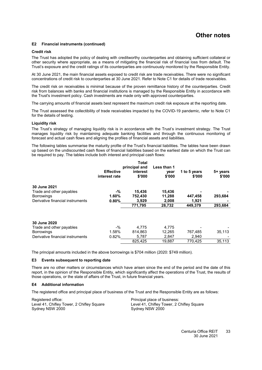### **Other notes**

#### **[E2](#page-32-2) Financial instruments (continued)**

#### **Credit risk**

The Trust has adopted the policy of dealing with creditworthy counterparties and obtaining sufficient collateral or other security where appropriate, as a means of mitigating the financial risk of financial loss from default. The Trust's exposure and the credit ratings of its counterparties are continuously monitored by the Responsible Entity.

At 30 June 2021, the main financial assets exposed to credit risk are trade receivables. There were no significant concentrations of credit risk to counterparties at 30 June 2021. Refer to Note [C1](#page-18-0) for details of trade receivables.

The credit risk on receivables is minimal because of the proven remittance history of the counterparties. Credit risk from balances with banks and financial institutions is managed by the Responsible Entity in accordance with the Trust's investment policy. Cash investments are made only with approved counterparties.

The carrying amounts of financial assets best represent the maximum credit risk exposure at the reporting date.

The Trust assessed the collectibility of trade receivables impacted by the COVID-19 pandemic, refer to Note [C1](#page-18-0) for the details of testing.

#### **Liquidity risk**

The Trust's strategy of managing liquidity risk is in accordance with the Trust's investment strategy. The Trust manages liquidity risk by maintaining adequate banking facilities and through the continuous monitoring of forecast and actual cash flows and aligning the profiles of financial assets and liabilities.

The following tables summarise the maturity profile of the Trust's financial liabilities. The tables have been drawn up based on the undiscounted cash flows of financial liabilities based on the earliest date on which the Trust can be required to pay. The tables include both interest and principal cash flows:

|                                  | <b>Effective</b><br>interest rate | Total<br>principal and<br>interest<br>\$'000 | Less than 1<br>vear<br>\$'000 | 1 to 5 years<br>\$'000 | 5+ years<br>\$'000 |
|----------------------------------|-----------------------------------|----------------------------------------------|-------------------------------|------------------------|--------------------|
| 30 June 2021                     |                                   |                                              |                               |                        |                    |
| Trade and other payables         | -%                                | 15.436                                       | 15,436                        |                        |                    |
| <b>Borrowings</b>                | 1.60%                             | 752,430                                      | 11,288                        | 447,458                | 293,684            |
| Derivative financial instruments | 0.80%                             | 3,929                                        | 2,008                         | 1,921                  |                    |
|                                  |                                   | 771,795                                      | 28.732                        | 449.379                | 293,684            |
| <b>30 June 2020</b>              |                                   |                                              |                               |                        |                    |
| Trade and other payables         | $-$ %                             | 4,775                                        | 4,775                         |                        |                    |
| <b>Borrowings</b>                | 1.58%                             | 814.863                                      | 12.265                        | 767.485                | 35,113             |
| Derivative financial instruments | 0.82%                             | 5,787                                        | 2,847                         | 2,940                  |                    |
|                                  |                                   | 825,425                                      | 19,887                        | 770,425                | 35,113             |

<span id="page-34-0"></span>The principal amounts included in the above borrowings is \$704 million (2020: \$749 million).

#### **[E3](#page-34-0) Events subsequent to reporting date**

<span id="page-34-1"></span>There are no other matters or circumstances which have arisen since the end of the period and the date of this report, in the opinion of the Responsible Entity, which significantly affect the operations of the Trust, the results of those operations, or the state of affairs of the Trust, in future financial years.

#### **[E4](#page-34-1) Additional information**

The registered office and principal place of business of the Trust and the Responsible Entity are as follows:

Registered office: Principal place of business: Level 41, Chifley Tower, 2 Chifley Square Level 41, Chifley Tower, 2 Chifley Square Sydney NSW 2000 Sydney NSW 2000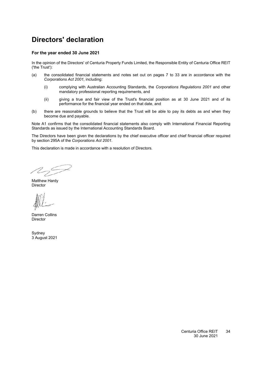# <span id="page-35-0"></span>**Directors' declaration**

#### **For the year ended 30 June 2021**

In the opinion of the Directors' of Centuria Property Funds Limited, the Responsible Entity of Centuria Office REIT ('the Trust'):

- (a) the consolidated financial statements and notes set out on pages [7](#page-8-0) to [33](#page-13-0) are in accordance with the *Corporations Act 2001*, including:
	- (i) complying with Australian Accounting Standards, the *Corporations Regulations 2001* and other mandatory professional reporting requirements, and
	- (ii) giving a true and fair view of the Trust's financial position as at 30 June 2021 and of its performance for the financial year ended on that date, and
- (b) there are reasonable grounds to believe that the Trust will be able to pay its debts as and when they become due and payable.

Note [A1](#page-13-2) confirms that the consolidated financial statements also comply with International Financial Reporting Standards as issued by the International Accounting Standards Board.

The Directors have been given the declarations by the chief executive officer and chief financial officer required by section 295A of the *Corporations Act 2001*.

This declaration is made in accordance with a resolution of Directors.

 $\mathbb{Z}_{2}$ 

Matthew Hardy Director

Darren Collins Director

Sydney 3 August 2021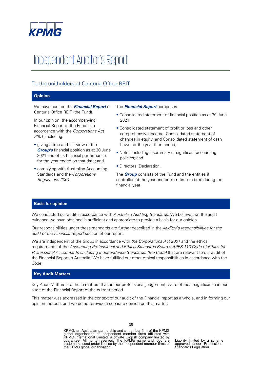

# Independent Auditor's Report

### To the unitholders of Centuria Office REIT

#### **Opinion**

We have audited the **Financial Report** of Centuria Office REIT (the Fund).

In our opinion, the accompanying Financial Report of the Fund is in accordance with the Corporations Act 2001, including:

- giving a true and fair view of the **Group's** financial position as at 30 June 2021 and of its financial performance for the year ended on that date; and
- complying with Australian Accounting Standards and the Corporations Regulations 2001.
- The **Financial Report** comprises:
- Consolidated statement of financial position as at 30 June 2021;
- Consolidated statement of profit or loss and other comprehensive income, Consolidated statement of changes in equity, and Consolidated statement of cash flows for the year then ended;
- Notes including a summary of significant accounting policies; and
- Directors' Declaration.

The **Group** consists of the Fund and the entities it controlled at the year-end or from time to time during the financial year.

#### **Basis for opinion**

We conducted our audit in accordance with Australian Auditing Standards. We believe that the audit evidence we have obtained is sufficient and appropriate to provide a basis for our opinion.

Our responsibilities under those standards are further described in the Auditor's responsibilities for the audit of the Financial Report section of our report.

We are independent of the Group in accordance with the Corporations Act 2001 and the ethical requirements of the Accounting Professional and Ethical Standards Board's APES 110 Code of Ethics for Professional Accountants (including Independence Standards) (the Code) that are relevant to our audit of the Financial Report in Australia. We have fulfilled our other ethical responsibilities in accordance with the Code.

#### **Key Audit Matters**

Key Audit Matters are those matters that, in our professional judgement, were of most significance in our audit of the Financial Report of the current period.

This matter was addressed in the context of our audit of the Financial report as a whole, and in forming our opinion thereon, and we do not provide a separate opinion on this matter.

> KPMG, an Australian partnership and a member firm of the KPMG<br>global organisation of independent member firms affiliated with<br>KPMG International Limited, a private English company limited by<br>guarantee. All rights reserved. the KPMG global organisation.

Liability limited by a scheme approved under Professional Standards Legislation.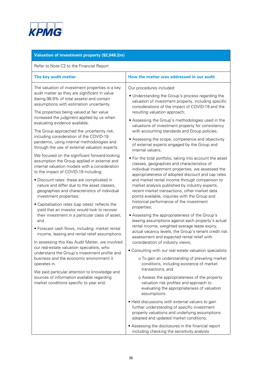

| Valuation of investment property (\$2,046.2m)                                                                                                                                                                                                                                                                                                                                                                                                                                                                                                                                                                                                                                                                                                                                                                                                                                                                                                                                               |                                                                                                                                                                                                                                                                                                                                                                                                                                                                                                                                                                                                                                                                                                                                                                                                                                                                                                                                                                                                                                                                                                                    |
|---------------------------------------------------------------------------------------------------------------------------------------------------------------------------------------------------------------------------------------------------------------------------------------------------------------------------------------------------------------------------------------------------------------------------------------------------------------------------------------------------------------------------------------------------------------------------------------------------------------------------------------------------------------------------------------------------------------------------------------------------------------------------------------------------------------------------------------------------------------------------------------------------------------------------------------------------------------------------------------------|--------------------------------------------------------------------------------------------------------------------------------------------------------------------------------------------------------------------------------------------------------------------------------------------------------------------------------------------------------------------------------------------------------------------------------------------------------------------------------------------------------------------------------------------------------------------------------------------------------------------------------------------------------------------------------------------------------------------------------------------------------------------------------------------------------------------------------------------------------------------------------------------------------------------------------------------------------------------------------------------------------------------------------------------------------------------------------------------------------------------|
| Refer to Note C2 to the Financial Report                                                                                                                                                                                                                                                                                                                                                                                                                                                                                                                                                                                                                                                                                                                                                                                                                                                                                                                                                    |                                                                                                                                                                                                                                                                                                                                                                                                                                                                                                                                                                                                                                                                                                                                                                                                                                                                                                                                                                                                                                                                                                                    |
| The key audit matter                                                                                                                                                                                                                                                                                                                                                                                                                                                                                                                                                                                                                                                                                                                                                                                                                                                                                                                                                                        | How the matter was addressed in our audit                                                                                                                                                                                                                                                                                                                                                                                                                                                                                                                                                                                                                                                                                                                                                                                                                                                                                                                                                                                                                                                                          |
| The valuation of investment properties is a key<br>audit matter as they are significant in value<br>(being 98.9% of total assets) and contain<br>assumptions with estimation uncertainty.<br>The properties being valued at fair value<br>increased the judgment applied by us when<br>evaluating evidence available.<br>The Group approached the uncertainty risk,<br>including consideration of the COVID-19<br>pandemic, using internal methodologies and<br>through the use of external valuation experts.                                                                                                                                                                                                                                                                                                                                                                                                                                                                              | Our procedures included:<br>• Understanding the Group's process regarding the<br>valuation of investment property, including specific<br>considerations of the impact of COVID-19 and the<br>resulting valuation approach;<br>• Assessing the Group's methodologies used in the<br>valuations of investment property for consistency<br>with accounting standards and Group policies;<br>• Assessing the scope, competence and objectivity<br>of external experts engaged by the Group and<br>internal valuers;                                                                                                                                                                                                                                                                                                                                                                                                                                                                                                                                                                                                    |
| We focused on the significant forward-looking<br>assumption the Group applied in external and<br>internal valuation models with a consideration<br>to the impact of COVID-19 including:<br>· Discount rates: these are complicated in<br>nature and differ due to the asset classes,<br>geographies and characteristics of individual<br>investment properties;<br>• Capitalisation rates (cap rates): reflects the<br>yield that an investor would look to recover<br>their investment in a particular class of asset;<br>and<br>• Forecast cash flows, including: market rental<br>income, leasing and rental relief assumptions.<br>In assessing this Key Audit Matter, we involved<br>our real-estate valuation specialists, who<br>understand the Group's investment profile and<br>business and the economic environment it<br>operates in.<br>We paid particular attention to knowledge and<br>sources of information available regarding<br>market conditions specific to year end. | • For the total portfolio, taking into account the asset<br>classes, geographies and characteristics of<br>individual investment properties, we assessed the<br>appropriateness of adopted discount and cap rates<br>and market rental income through comparison to<br>market analysis published by industry experts,<br>recent market transactions, other market data<br>points available, inquiries with the Group and<br>historical performance of the investment<br>properties;<br>• Assessing the appropriateness of the Group's<br>leasing assumptions against each property's actual<br>rental income, weighted average lease expiry,<br>actual vacancy levels, the Group's tenant credit risk<br>assessment and expected rental relief with<br>consideration of industry views;<br>• Consulting with our real estate valuation specialists:<br>o To gain an understanding of prevailing market<br>conditions, including existence of market<br>transactions, and<br>o Assess the appropriateness of the property<br>valuation risk profiles and approach to<br>evaluating the appropriateness of valuation |
|                                                                                                                                                                                                                                                                                                                                                                                                                                                                                                                                                                                                                                                                                                                                                                                                                                                                                                                                                                                             | assumptions.<br>• Held discussions with external valuers to gain<br>further understanding of specific investment<br>property valuations and underlying assumptions<br>adopted and updated market conditions;<br>• Assessing the disclosures in the financial report<br>including checking the sensitivity analysis                                                                                                                                                                                                                                                                                                                                                                                                                                                                                                                                                                                                                                                                                                                                                                                                 |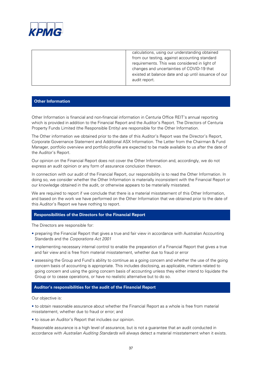

| calculations, using our understanding obtained<br>from our testing, against accounting standard<br>requirements. This was considered in light of<br>changes and uncertainties of COVID-19 that |
|------------------------------------------------------------------------------------------------------------------------------------------------------------------------------------------------|
| existed at balance date and up until issuance of our<br>audit report.                                                                                                                          |

#### **Other Information**

Other Information is financial and non-financial information in Centuria Office REIT's annual reporting which is provided in addition to the Financial Report and the Auditor's Report. The Directors of Centuria Property Funds Limited (the Responsible Entity) are responsible for the Other Information.

The Other information we obtained prior to the date of this Auditor's Report was the Director's Report, Corporate Governance Statement and Additional ASX Information. The Letter from the Chairman & Fund Manager, portfolio overview and portfolio profile are expected to be made available to us after the date of the Auditor's Report.

Our opinion on the Financial Report does not cover the Other Information and, accordingly, we do not express an audit opinion or any form of assurance conclusion thereon.

In connection with our audit of the Financial Report, our responsibility is to read the Other Information. In doing so, we consider whether the Other Information is materially inconsistent with the Financial Report or our knowledge obtained in the audit, or otherwise appears to be materially misstated.

We are required to report if we conclude that there is a material misstatement of this Other Information, and based on the work we have performed on the Other Information that we obtained prior to the date of this Auditor's Report we have nothing to report.

#### **Responsibilities of the Directors for the Financial Report**

The Directors are responsible for:

- preparing the Financial Report that gives a true and fair view in accordance with Australian Accounting Standards and the Corporations Act 2001
- implementing necessary internal control to enable the preparation of a Financial Report that gives a true and fair view and is free from material misstatement, whether due to fraud or error
- assessing the Group and Fund's ability to continue as a going concern and whether the use of the going concern basis of accounting is appropriate. This includes disclosing, as applicable, matters related to going concern and using the going concern basis of accounting unless they either intend to liquidate the Group or to cease operations, or have no realistic alternative but to do so.

#### **Auditor's responsibilities for the audit of the Financial Report**

Our objective is:

• to obtain reasonable assurance about whether the Financial Report as a whole is free from material misstatement, whether due to fraud or error; and

• to issue an Auditor's Report that includes our opinion.

Reasonable assurance is a high level of assurance, but is not a guarantee that an audit conducted in accordance with Australian Auditing Standards will always detect a material misstatement when it exists.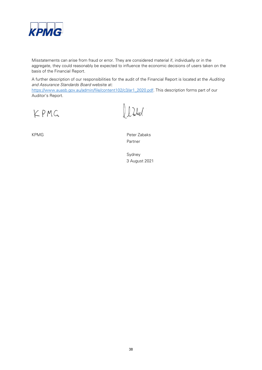

Misstatements can arise from fraud or error. They are considered material if, individually or in the aggregate, they could reasonably be expected to influence the economic decisions of users taken on the basis of the Financial Report.

A further description of our responsibilities for the audit of the Financial Report is located at the Auditing and Assurance Standards Board website at:

[https://www.auasb.gov.au/admin/file/content102/c3/ar1\\_2020.pdf.](https://www.auasb.gov.au/admin/file/content102/c3/ar1_2020.pdf) This description forms part of our Auditor's Report.

KPMG

 $l$   $2$ lul

KPMG Peter Zabaks Partner

> Sydney 3 August 2021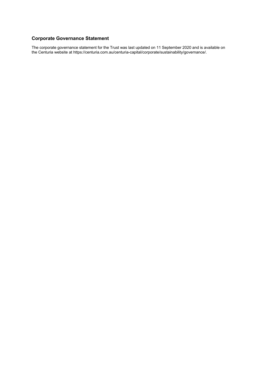### <span id="page-40-0"></span>**Corporate Governance Statement**

The corporate governance statement for the Trust was last updated on 11 September 2020 and is available on the Centuria website at https://centuria.com.au/centuria-capital/corporate/sustainability/governance/.